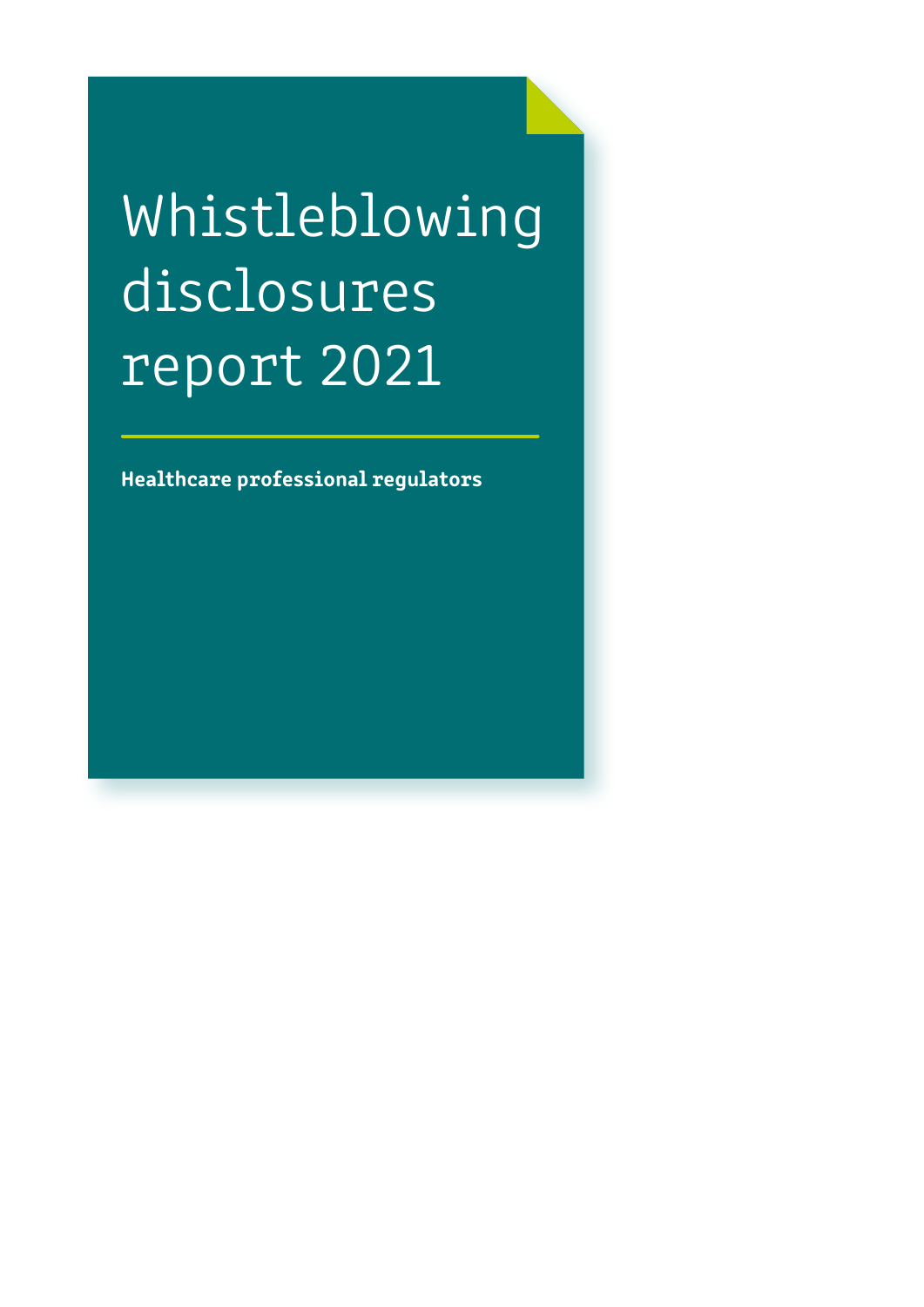# Whistleblowing disclosures report 2021

Healthcare professional regulators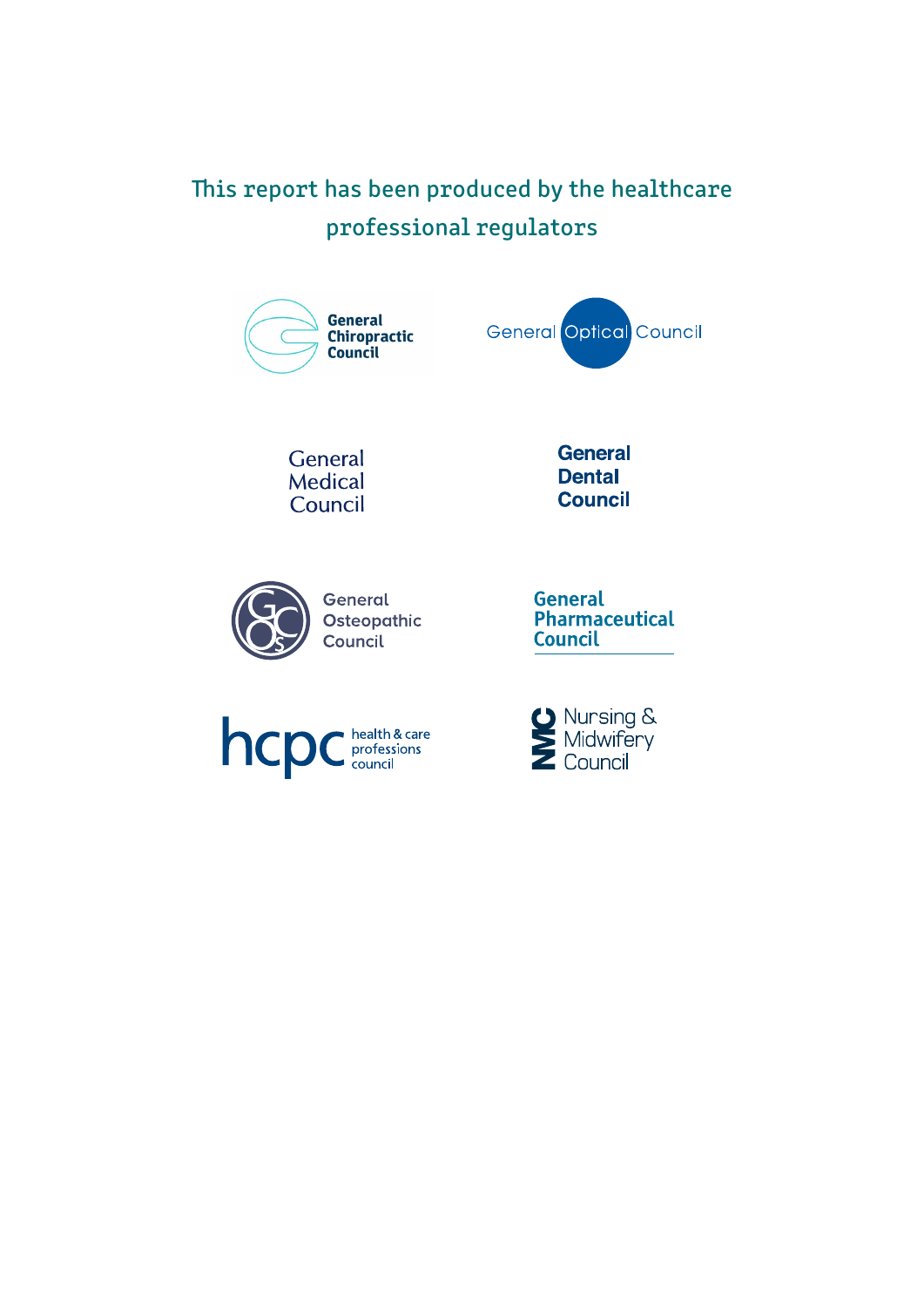# This report has been produced by the healthcare professional regulators



General Medical Council





Osteopathic

General Pharmaceutical **Council** 



**O** Nursing &<br>Midwifery<br>Council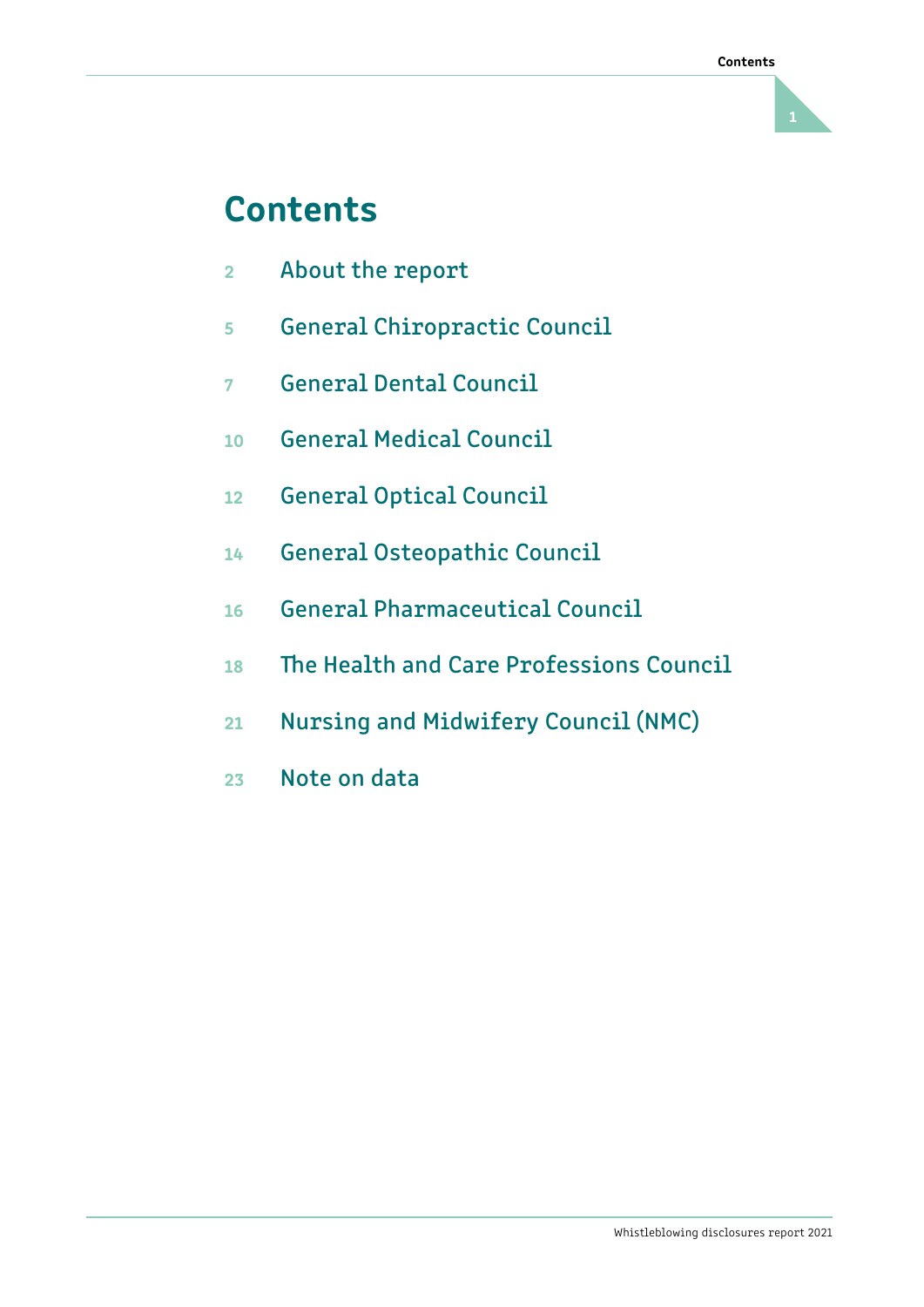# **Contents**

- $\overline{2}$ About the report
- 5 5 General Chiropractic Council
- $\overline{7}$ 7 General Dental Council
- 10 General Medical Council
- 12 General Optical Council
- 14 General Osteopathic Council
- 16 General Pharmaceutical Council
- 18 The Health and Care Professions Council
- 21 Nursing and Midwifery Council (NMC)
- 23 Note on data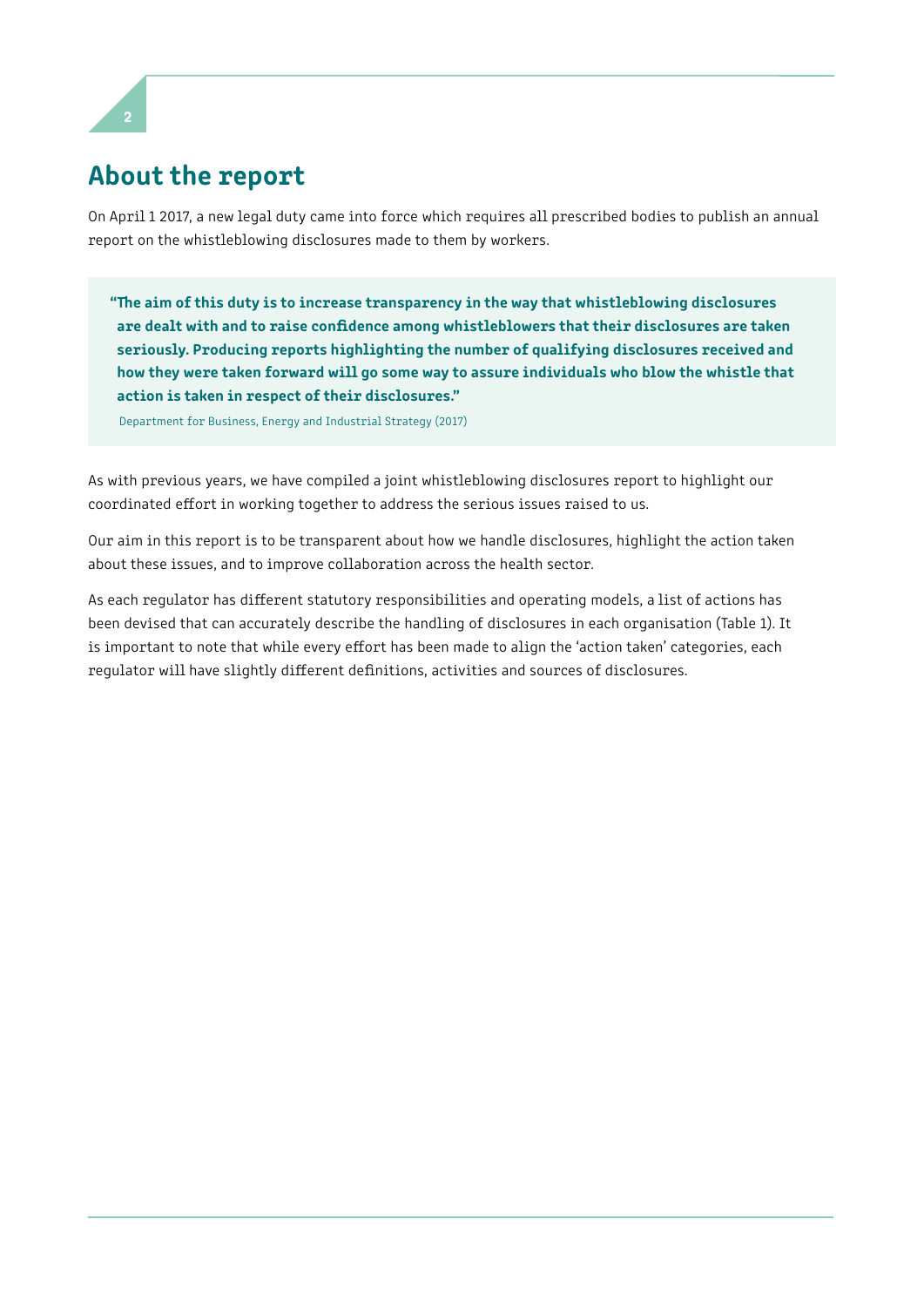

# About the report

On April 1 2017, a new legal duty came into force which requires all prescribed bodies to publish an annual report on the whistleblowing disclosures made to them by workers.

"The aim of this duty is to increase transparency in the way that whistleblowing disclosures are dealt with and to raise confdence among whistleblowers that their disclosures are taken seriously. Producing reports highlighting the number of qualifying disclosures received and how they were taken forward will go some way to assure individuals who blow the whistle that action is taken in respect of their disclosures."

Department for Business, Energy and Industrial Strategy (2017)

As with previous years, we have compiled a joint whistleblowing disclosures report to highlight our coordinated efort in working together to address the serious issues raised to us.

Our aim in this report is to be transparent about how we handle disclosures, highlight the action taken about these issues, and to improve collaboration across the health sector.

As each regulator has diferent statutory responsibilities and operating models, a list of actions has been devised that can accurately describe the handling of disclosures in each organisation (Table 1). It is important to note that while every effort has been made to align the 'action taken' categories, each regulator will have slightly diferent defnitions, activities and sources of disclosures.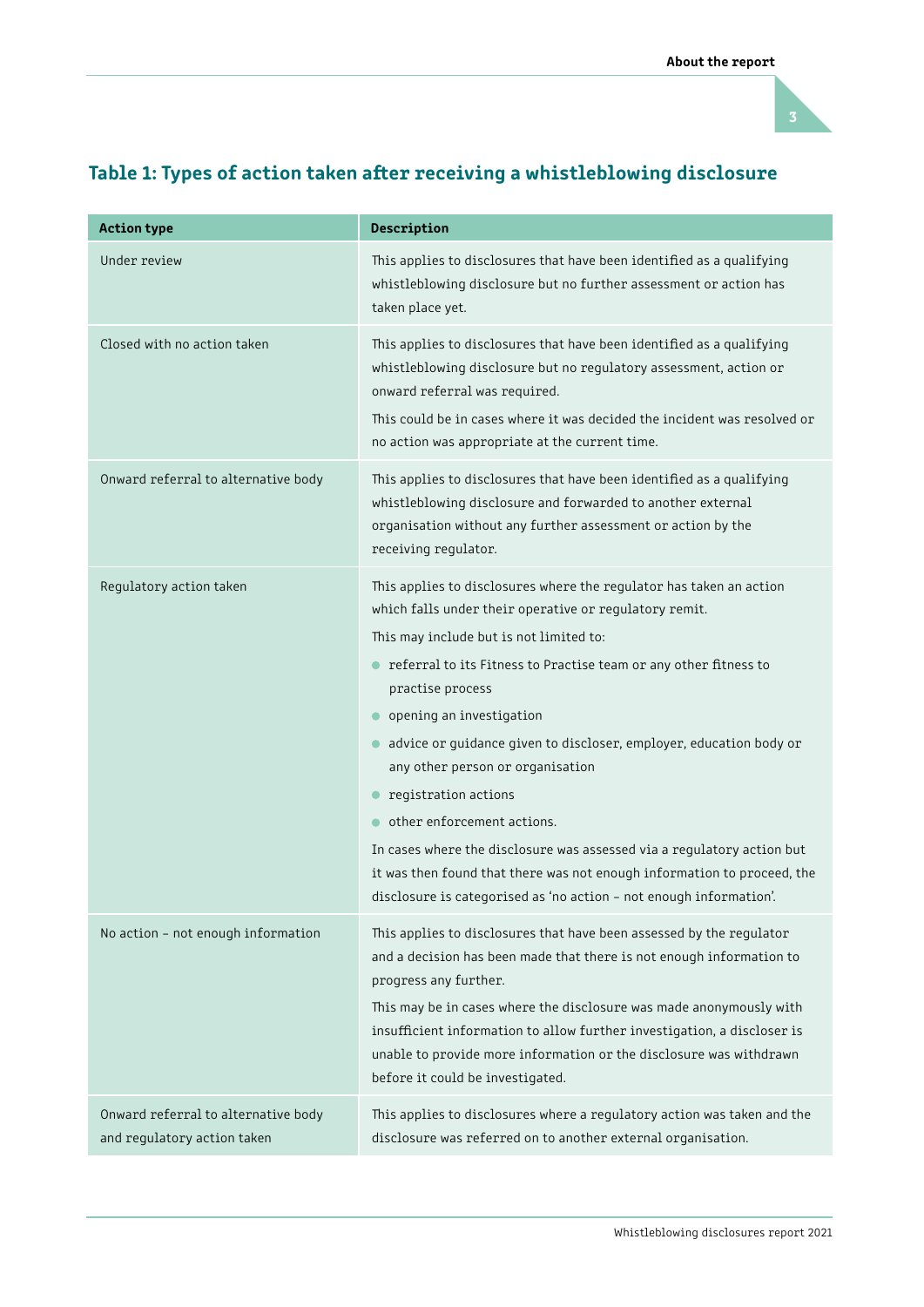

| <b>Action type</b>                                                 | Description                                                                                                                                                                                                                                                                                                                                                                                                                                                                                                                                                                                                                                                                               |
|--------------------------------------------------------------------|-------------------------------------------------------------------------------------------------------------------------------------------------------------------------------------------------------------------------------------------------------------------------------------------------------------------------------------------------------------------------------------------------------------------------------------------------------------------------------------------------------------------------------------------------------------------------------------------------------------------------------------------------------------------------------------------|
| Under review                                                       | This applies to disclosures that have been identified as a qualifying<br>whistleblowing disclosure but no further assessment or action has<br>taken place yet.                                                                                                                                                                                                                                                                                                                                                                                                                                                                                                                            |
| Closed with no action taken                                        | This applies to disclosures that have been identified as a qualifying<br>whistleblowing disclosure but no regulatory assessment, action or<br>onward referral was required.<br>This could be in cases where it was decided the incident was resolved or<br>no action was appropriate at the current time.                                                                                                                                                                                                                                                                                                                                                                                 |
| Onward referral to alternative body                                | This applies to disclosures that have been identified as a qualifying<br>whistleblowing disclosure and forwarded to another external<br>organisation without any further assessment or action by the<br>receiving regulator.                                                                                                                                                                                                                                                                                                                                                                                                                                                              |
| Regulatory action taken                                            | This applies to disclosures where the regulator has taken an action<br>which falls under their operative or regulatory remit.<br>This may include but is not limited to:<br>• referral to its Fitness to Practise team or any other fitness to<br>practise process<br>opening an investigation<br>advice or guidance given to discloser, employer, education body or<br>any other person or organisation<br>registration actions<br>other enforcement actions.<br>In cases where the disclosure was assessed via a regulatory action but<br>it was then found that there was not enough information to proceed, the<br>disclosure is categorised as 'no action - not enough information'. |
| No action - not enough information                                 | This applies to disclosures that have been assessed by the regulator<br>and a decision has been made that there is not enough information to<br>progress any further.<br>This may be in cases where the disclosure was made anonymously with<br>insufficient information to allow further investigation, a discloser is<br>unable to provide more information or the disclosure was withdrawn<br>before it could be investigated.                                                                                                                                                                                                                                                         |
| Onward referral to alternative body<br>and regulatory action taken | This applies to disclosures where a regulatory action was taken and the<br>disclosure was referred on to another external organisation.                                                                                                                                                                                                                                                                                                                                                                                                                                                                                                                                                   |

### Table 1: Types of action taken after receiving a whistleblowing disclosure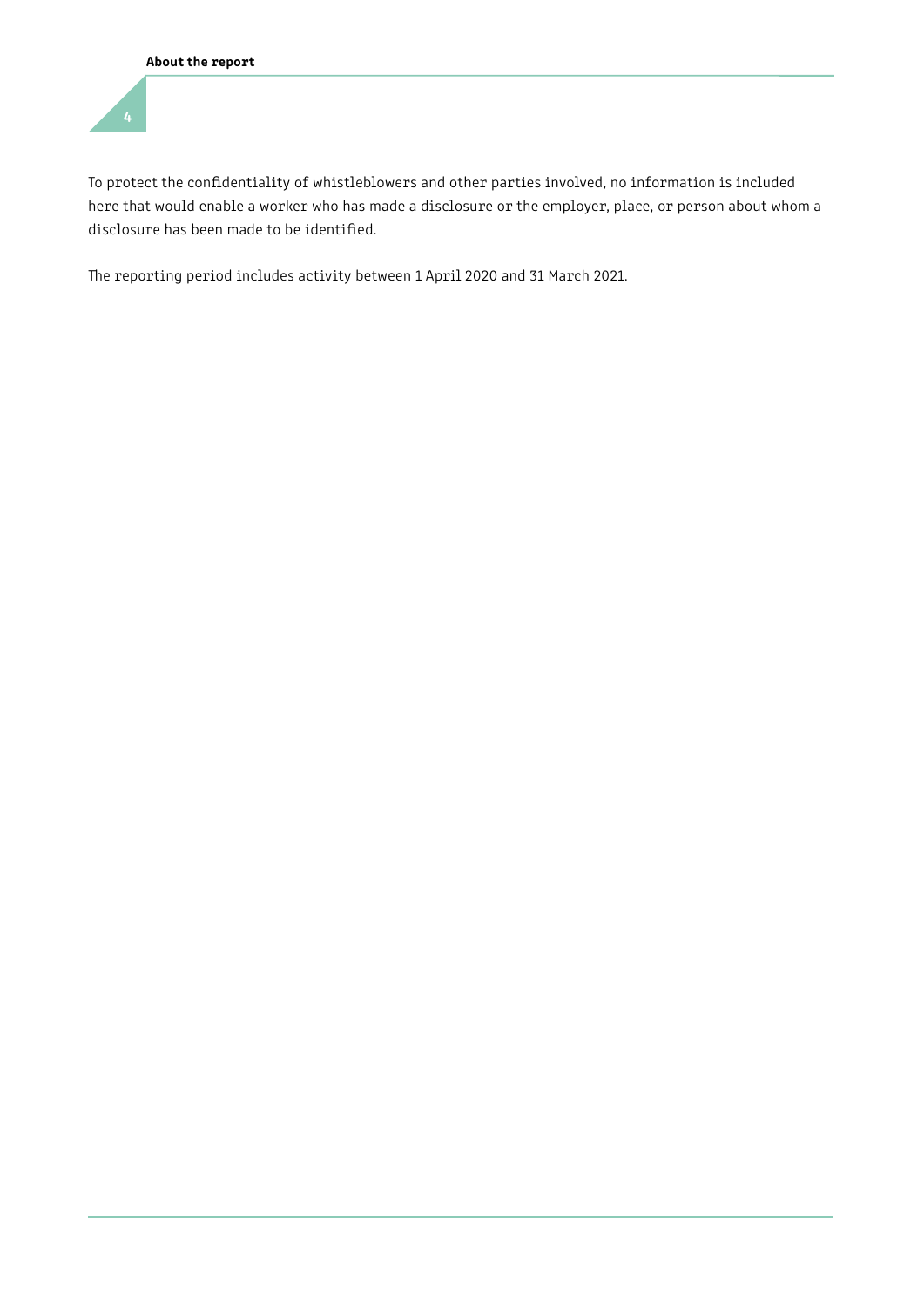To protect the confdentiality of whistleblowers and other parties involved, no information is included here that would enable a worker who has made a disclosure or the employer, place, or person about whom a disclosure has been made to be identifed.

The reporting period includes activity between 1 April 2020 and 31 March 2021.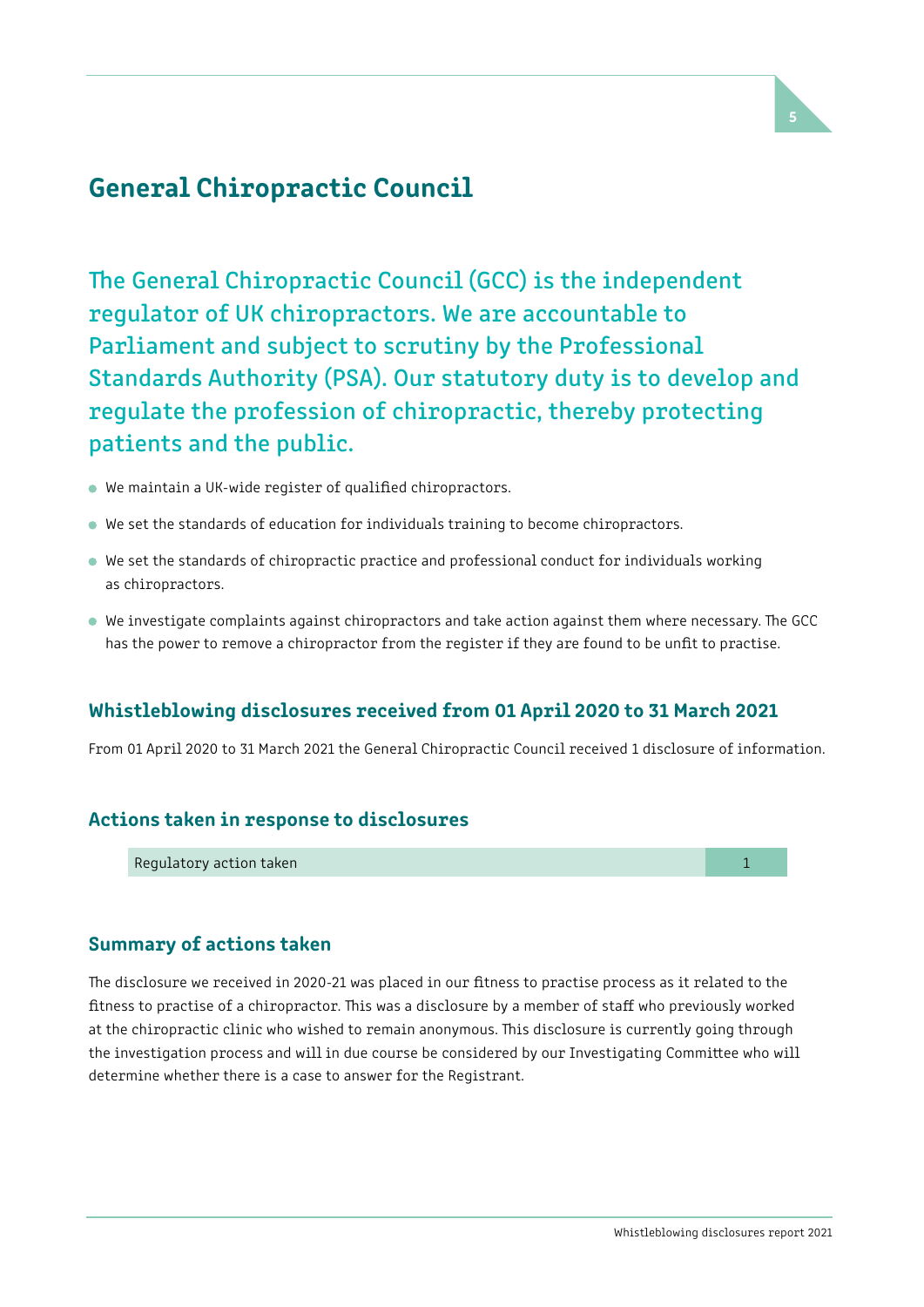### General Chiropractic Council

Parliament and subject to scrutiny by the Professional The General Chiropractic Council (GCC) is the independent regulator of UK chiropractors. We are accountable to Standards Authority (PSA). Our statutory duty is to develop and regulate the profession of chiropractic, thereby protecting patients and the public.

- We maintain a UK-wide register of qualifed chiropractors.
- We set the standards of education for individuals training to become chiropractors.
- We set the standards of chiropractic practice and professional conduct for individuals working as chiropractors.
- We investigate complaints against chiropractors and take action against them where necessary. The GCC has the power to remove a chiropractor from the register if they are found to be unft to practise.

### Whistleblowing disclosures received from 01 April 2020 to 31 March 2021

From 01 April 2020 to 31 March 2021 the General Chiropractic Council received 1 disclosure of information.

#### Actions taken in response to disclosures

Regulatory action taken 1 and 2 and 2 and 2 and 2 and 2 and 2 and 2 and 2 and 2 and 2 and 2 and 2 and 2 and 2 and 2 and 2 and 2 and 2 and 2 and 2 and 2 and 2 and 2 and 2 and 2 and 2 and 2 and 2 and 2 and 2 and 2 and 2 and

### Summary of actions taken

The disclosure we received in 2020-21 was placed in our fitness to practise process as it related to the fitness to practise of a chiropractor. This was a disclosure by a member of staff who previously worked at the chiropractic clinic who wished to remain anonymous. This disclosure is currently going through the investigation process and will in due course be considered by our Investigating Commitee who will determine whether there is a case to answer for the Registrant.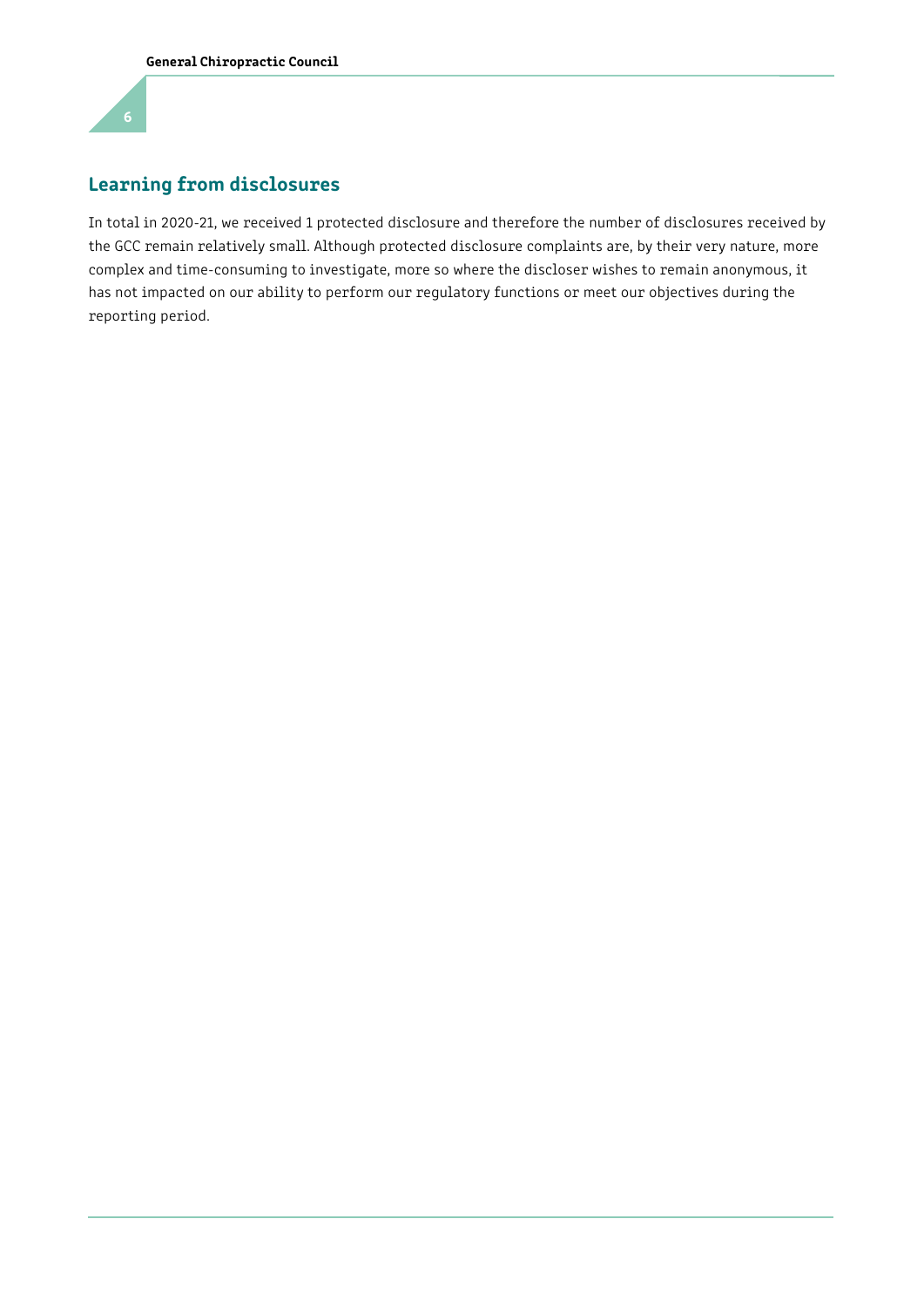### Learning from disclosures

In total in 2020-21, we received 1 protected disclosure and therefore the number of disclosures received by the GCC remain relatively small. Although protected disclosure complaints are, by their very nature, more complex and time-consuming to investigate, more so where the discloser wishes to remain anonymous, it has not impacted on our ability to perform our regulatory functions or meet our objectives during the reporting period.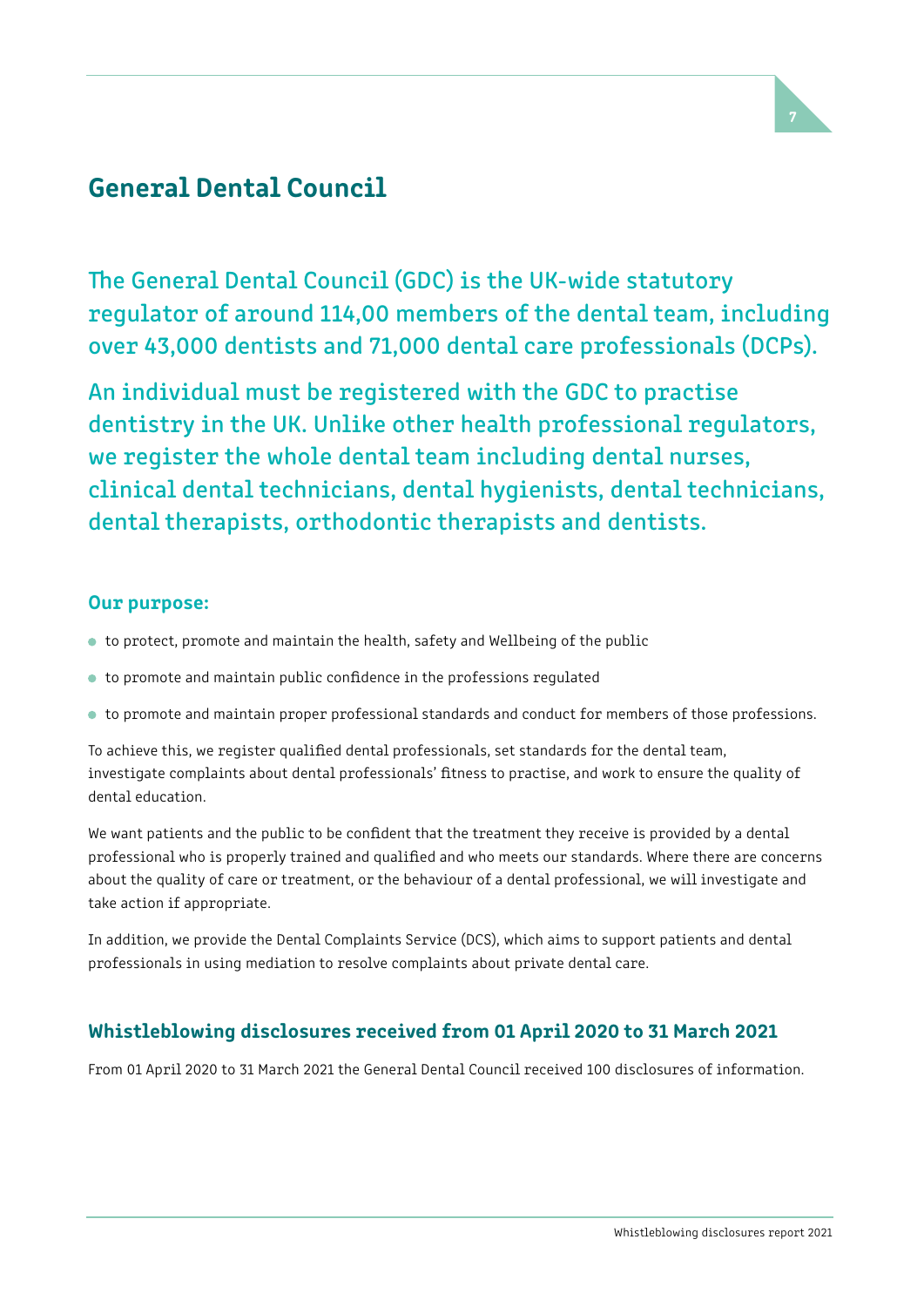

# General Dental Council

The General Dental Council (GDC) is the UK-wide statutory regulator of around 114,00 members of the dental team, including over 43,000 dentists and 71,000 dental care professionals (DCPs).

An individual must be registered with the GDC to practise dentistry in the UK. Unlike other health professional regulators, we register the whole dental team including dental nurses, clinical dental technicians, dental hygienists, dental technicians, dental therapists, orthodontic therapists and dentists.

### Our purpose:

- to protect, promote and maintain the health, safety and Wellbeing of the public
- to promote and maintain public confdence in the professions regulated
- to promote and maintain proper professional standards and conduct for members of those professions.

 To achieve this, we register qualifed dental professionals, set standards for the dental team, investigate complaints about dental professionals' ftness to practise, and work to ensure the quality of dental education.

We want patients and the public to be confdent that the treatment they receive is provided by a dental professional who is properly trained and qualifed and who meets our standards. Where there are concerns about the quality of care or treatment, or the behaviour of a dental professional, we will investigate and take action if appropriate.

In addition, we provide the Dental Complaints Service (DCS), which aims to support patients and dental professionals in using mediation to resolve complaints about private dental care.

### Whistleblowing disclosures received from 01 April 2020 to 31 March 2021

From 01 April 2020 to 31 March 2021 the General Dental Council received 100 disclosures of information.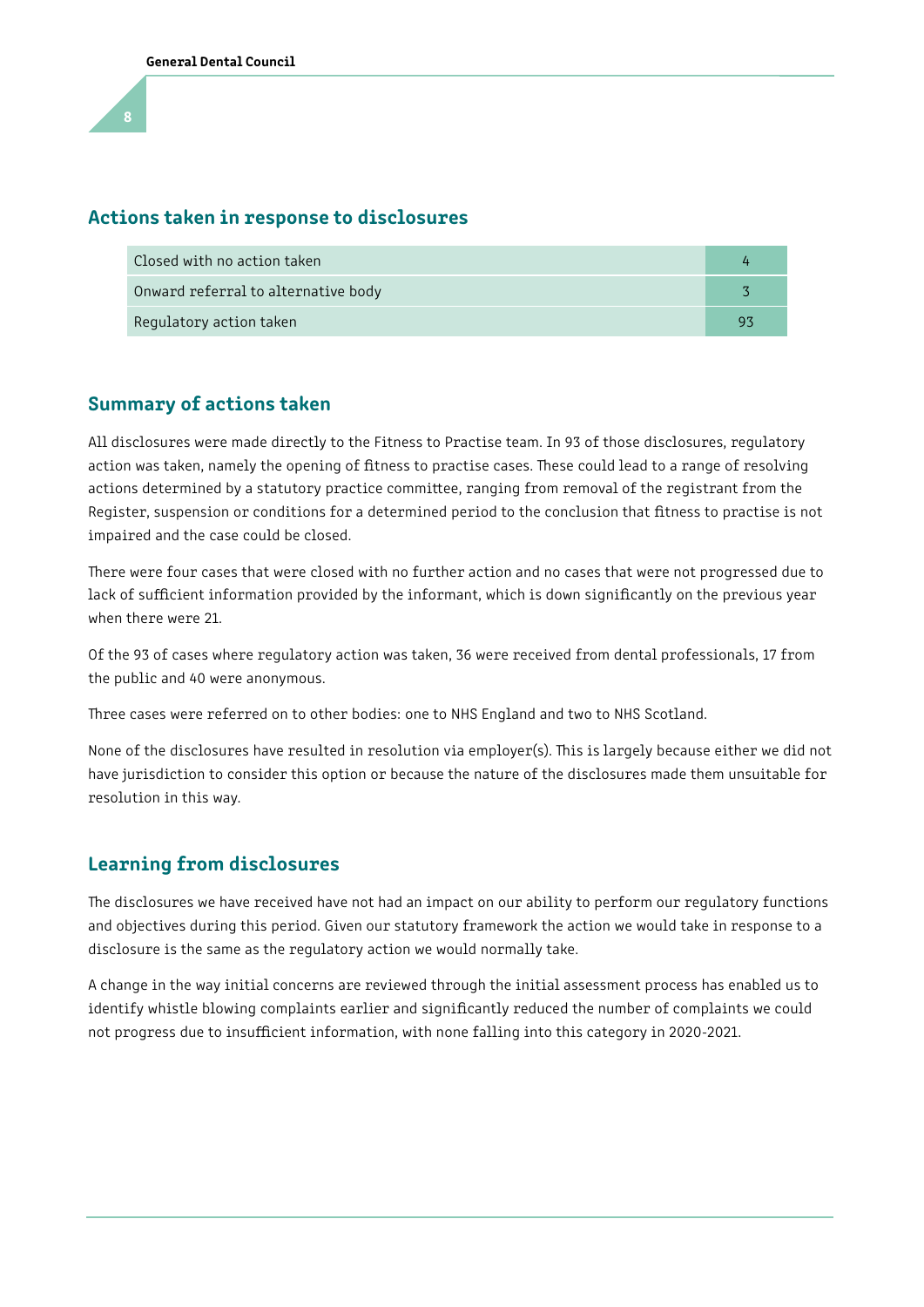#### Actions taken in response to disclosures

| Closed with no action taken         |    |
|-------------------------------------|----|
| Onward referral to alternative body |    |
| Regulatory action taken             | ۵s |

### Summary of actions taken

All disclosures were made directly to the Fitness to Practise team. In 93 of those disclosures, regulatory action was taken, namely the opening of fitness to practise cases. These could lead to a range of resolving actions determined by a statutory practice commitee, ranging from removal of the registrant from the Register, suspension or conditions for a determined period to the conclusion that ftness to practise is not impaired and the case could be closed.

There were four cases that were closed with no further action and no cases that were not progressed due to lack of sufficient information provided by the informant, which is down significantly on the previous year when there were 21.

Of the 93 of cases where regulatory action was taken, 36 were received from dental professionals, 17 from the public and 40 were anonymous.

Tree cases were referred on to other bodies: one to NHS England and two to NHS Scotland.

None of the disclosures have resulted in resolution via employer(s). This is largely because either we did not have jurisdiction to consider this option or because the nature of the disclosures made them unsuitable for resolution in this way.

### Learning from disclosures

The disclosures we have received have not had an impact on our ability to perform our regulatory functions and objectives during this period. Given our statutory framework the action we would take in response to a disclosure is the same as the regulatory action we would normally take.

A change in the way initial concerns are reviewed through the initial assessment process has enabled us to identify whistle blowing complaints earlier and signifcantly reduced the number of complaints we could not progress due to insufficient information, with none falling into this category in 2020-2021.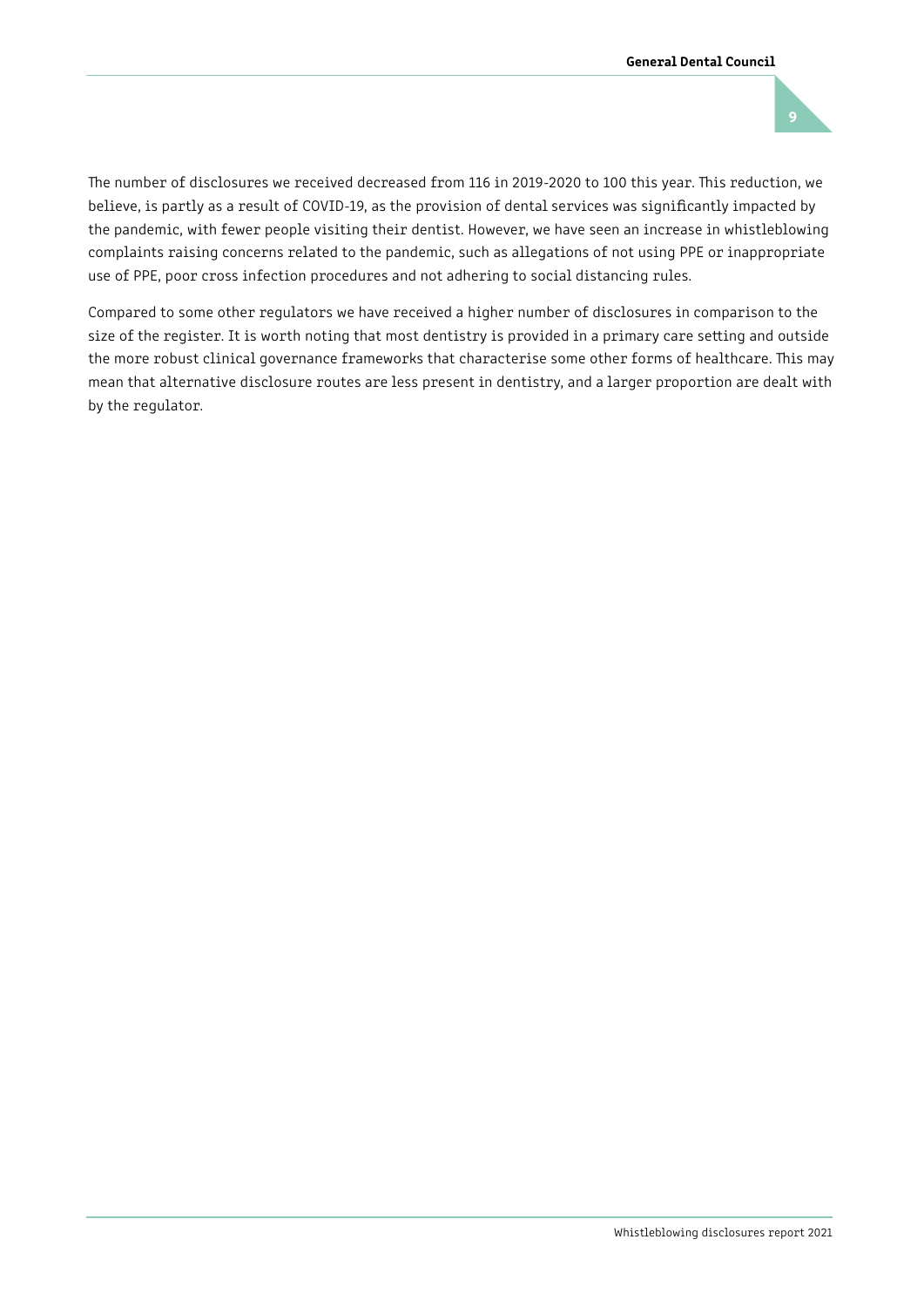

The number of disclosures we received decreased from 116 in 2019-2020 to 100 this year. This reduction, we believe, is partly as a result of COVID-19, as the provision of dental services was signifcantly impacted by the pandemic, with fewer people visiting their dentist. However, we have seen an increase in whistleblowing complaints raising concerns related to the pandemic, such as allegations of not using PPE or inappropriate use of PPE, poor cross infection procedures and not adhering to social distancing rules.

Compared to some other regulators we have received a higher number of disclosures in comparison to the size of the register. It is worth noting that most dentistry is provided in a primary care seting and outside the more robust clinical governance frameworks that characterise some other forms of healthcare. This may mean that alternative disclosure routes are less present in dentistry, and a larger proportion are dealt with by the regulator.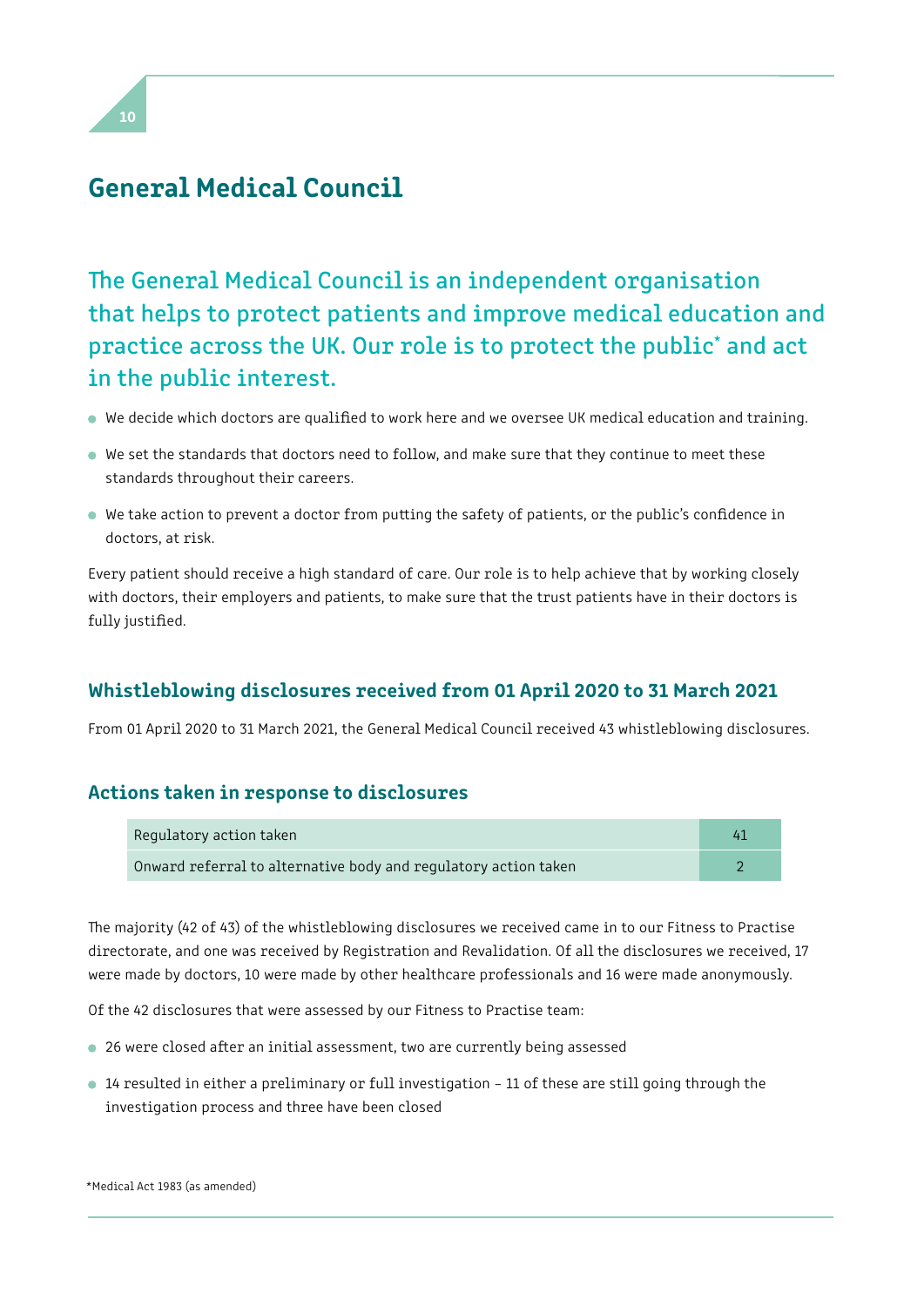### General Medical Council

The General Medical Council is an independent organisation that helps to protect patients and improve medical education and practice across the UK. Our role is to protect the public<sup>\*</sup> and act in the public interest.

- We decide which doctors are qualifed to work here and we oversee UK medical education and training.
- We set the standards that doctors need to follow, and make sure that they continue to meet these standards throughout their careers.
- We take action to prevent a doctor from puting the safety of patients, or the public's confdence in doctors, at risk.

Every patient should receive a high standard of care. Our role is to help achieve that by working closely with doctors, their employers and patients, to make sure that the trust patients have in their doctors is fully justifed.

### Whistleblowing disclosures received from 01 April 2020 to 31 March 2021

From 01 April 2020 to 31 March 2021, the General Medical Council received 43 whistleblowing disclosures.

### Actions taken in response to disclosures

| Regulatory action taken                                         |  |
|-----------------------------------------------------------------|--|
| Onward referral to alternative body and regulatory action taken |  |

The majority (42 of 43) of the whistleblowing disclosures we received came in to our Fitness to Practise directorate, and one was received by Registration and Revalidation. Of all the disclosures we received, 17 were made by doctors, 10 were made by other healthcare professionals and 16 were made anonymously.

Of the 42 disclosures that were assessed by our Fitness to Practise team:

- 26 were closed after an initial assessment, two are currently being assessed
- 14 resulted in either a preliminary or full investigation 11 of these are still going through the investigation process and three have been closed

\*Medical Act 1983 (as amended)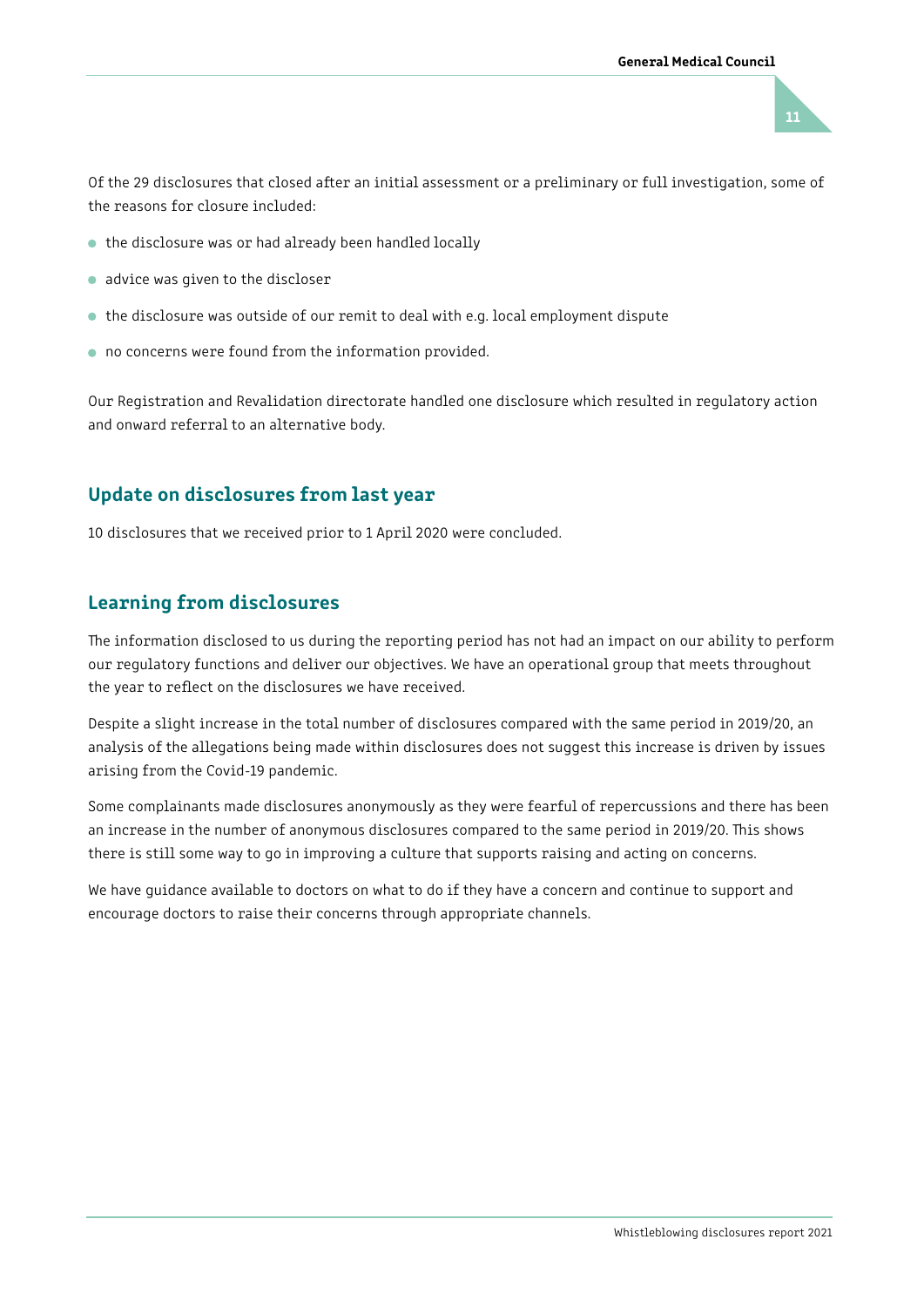

Of the 29 disclosures that closed afer an initial assessment or a preliminary or full investigation, some of the reasons for closure included:

- the disclosure was or had already been handled locally
- advice was given to the discloser
- the disclosure was outside of our remit to deal with e.g. local employment dispute
- $\bullet$  no concerns were found from the information provided.

Our Registration and Revalidation directorate handled one disclosure which resulted in regulatory action and onward referral to an alternative body.

### Update on disclosures from last year

10 disclosures that we received prior to 1 April 2020 were concluded.

### Learning from disclosures

The information disclosed to us during the reporting period has not had an impact on our ability to perform our regulatory functions and deliver our objectives. We have an operational group that meets throughout the year to reflect on the disclosures we have received.

Despite a slight increase in the total number of disclosures compared with the same period in 2019/20, an analysis of the allegations being made within disclosures does not suggest this increase is driven by issues arising from the Covid-19 pandemic.

Some complainants made disclosures anonymously as they were fearful of repercussions and there has been an increase in the number of anonymous disclosures compared to the same period in 2019/20. This shows there is still some way to go in improving a culture that supports raising and acting on concerns.

We have guidance available to doctors on what to do if they have a concern and continue to support and encourage doctors to raise their concerns through appropriate channels.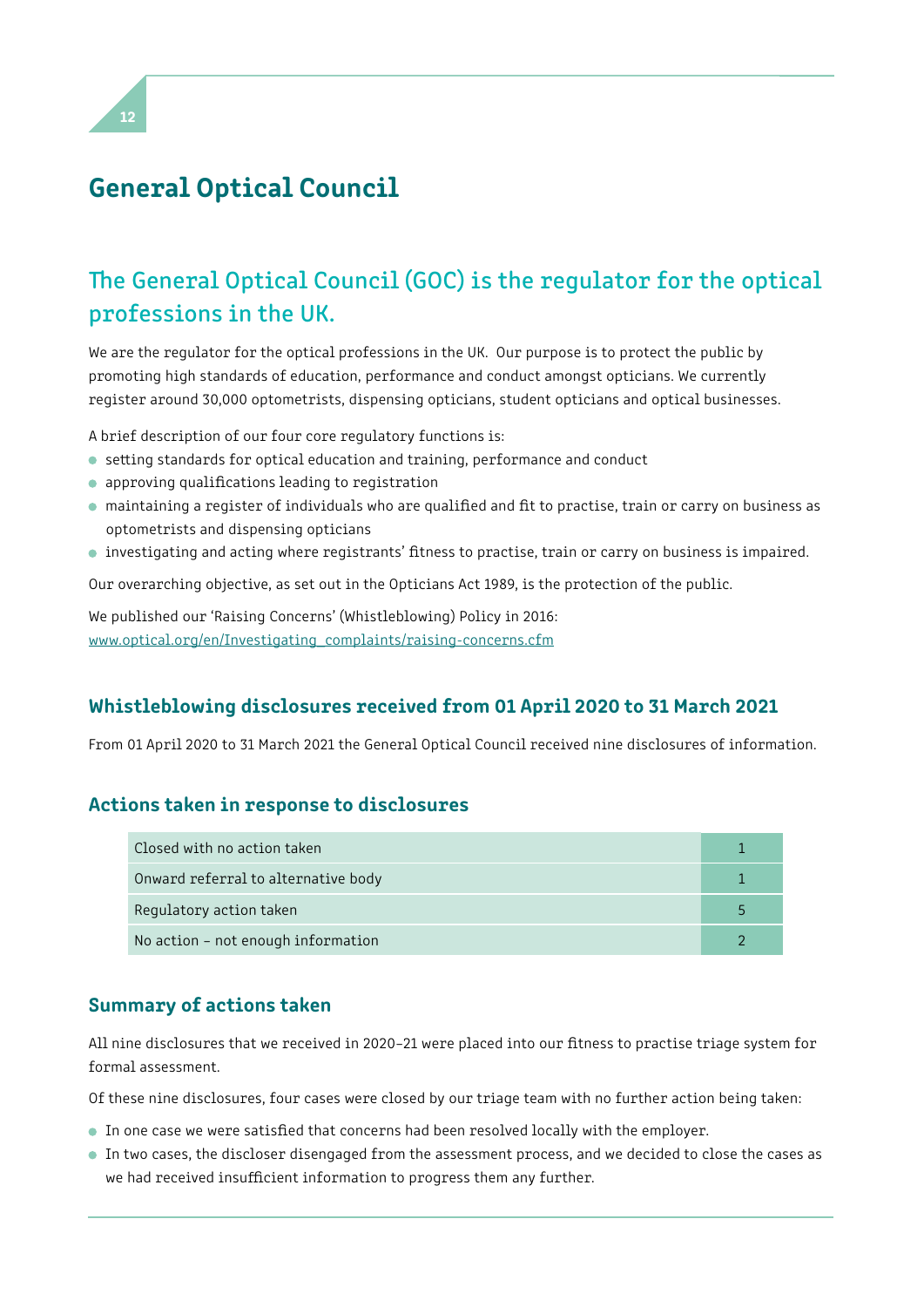# General Optical Council

# The General Optical Council (GOC) is the regulator for the optical professions in the UK.

We are the regulator for the optical professions in the UK. Our purpose is to protect the public by promoting high standards of education, performance and conduct amongst opticians. We currently register around 30,000 optometrists, dispensing opticians, student opticians and optical businesses.

A brief description of our four core regulatory functions is:

- seting standards for optical education and training, performance and conduct
- approving qualifcations leading to registration
- maintaining a register of individuals who are qualifed and ft to practise, train or carry on business as optometrists and dispensing opticians
- investigating and acting where registrants' ftness to practise, train or carry on business is impaired.

Our overarching objective, as set out in the Opticians Act 1989, is the protection of the public.

We published our 'Raising Concerns' (Whistleblowing) Policy in 2016: [www.optical.org/en/Investigating\\_complaints/raising-concerns.cfm](https://www.optical.org/en/Investigating_complaints/raising-concerns.cfm)

### Whistleblowing disclosures received from 01 April 2020 to 31 March 2021

From 01 April 2020 to 31 March 2021 the General Optical Council received nine disclosures of information.

### Actions taken in response to disclosures

| Closed with no action taken         |  |
|-------------------------------------|--|
| Onward referral to alternative body |  |
| Regulatory action taken             |  |
| No action - not enough information  |  |

### Summary of actions taken

All nine disclosures that we received in 2020–21 were placed into our ftness to practise triage system for formal assessment.

Of these nine disclosures, four cases were closed by our triage team with no further action being taken:

- In one case we were satisfied that concerns had been resolved locally with the employer.
- In two cases, the discloser disengaged from the assessment process, and we decided to close the cases as we had received insufficient information to progress them any further.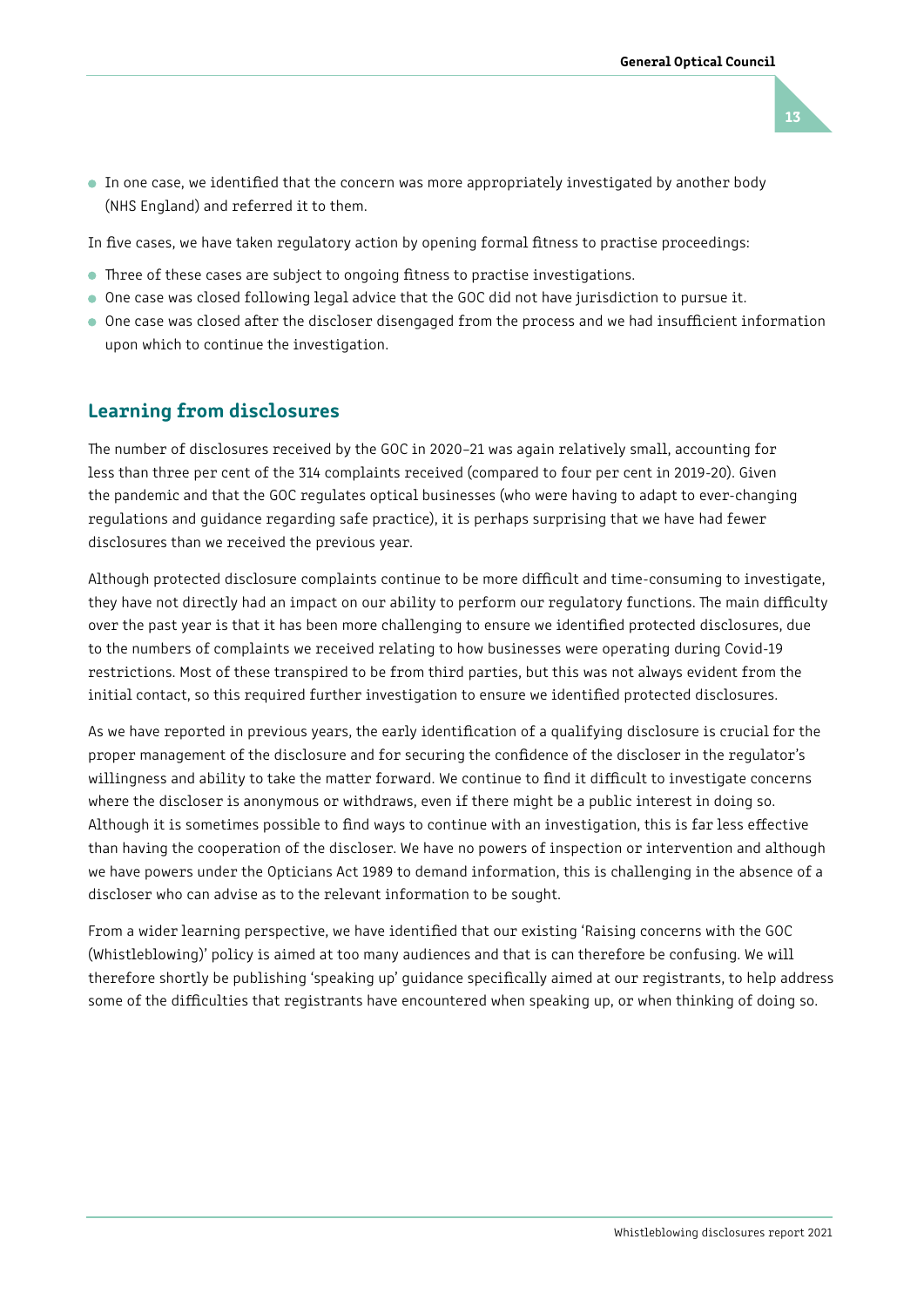13

 In one case, we identifed that the concern was more appropriately investigated by another body (NHS England) and referred it to them.

In five cases, we have taken regulatory action by opening formal fitness to practise proceedings:

- Three of these cases are subject to ongoing fitness to practise investigations.
- One case was closed following legal advice that the GOC did not have jurisdiction to pursue it.
- One case was closed after the discloser disengaged from the process and we had insufficient information upon which to continue the investigation.

### Learning from disclosures

The number of disclosures received by the GOC in 2020-21 was again relatively small, accounting for less than three per cent of the 314 complaints received (compared to four per cent in 2019-20). Given the pandemic and that the GOC regulates optical businesses (who were having to adapt to ever-changing regulations and guidance regarding safe practice), it is perhaps surprising that we have had fewer disclosures than we received the previous year.

Although protected disclosure complaints continue to be more difficult and time-consuming to investigate, they have not directly had an impact on our ability to perform our regulatory functions. The main difficulty over the past year is that it has been more challenging to ensure we identifed protected disclosures, due to the numbers of complaints we received relating to how businesses were operating during Covid-19 restrictions. Most of these transpired to be from third parties, but this was not always evident from the initial contact, so this required further investigation to ensure we identifed protected disclosures.

As we have reported in previous years, the early identifcation of a qualifying disclosure is crucial for the proper management of the disclosure and for securing the confdence of the discloser in the regulator's willingness and ability to take the matter forward. We continue to find it difficult to investigate concerns where the discloser is anonymous or withdraws, even if there might be a public interest in doing so. Although it is sometimes possible to fnd ways to continue with an investigation, this is far less efective than having the cooperation of the discloser. We have no powers of inspection or intervention and although we have powers under the Opticians Act 1989 to demand information, this is challenging in the absence of a discloser who can advise as to the relevant information to be sought.

From a wider learning perspective, we have identifed that our existing 'Raising concerns with the GOC (Whistleblowing)' policy is aimed at too many audiences and that is can therefore be confusing. We will therefore shortly be publishing 'speaking up' guidance specifcally aimed at our registrants, to help address some of the difficulties that registrants have encountered when speaking up, or when thinking of doing so.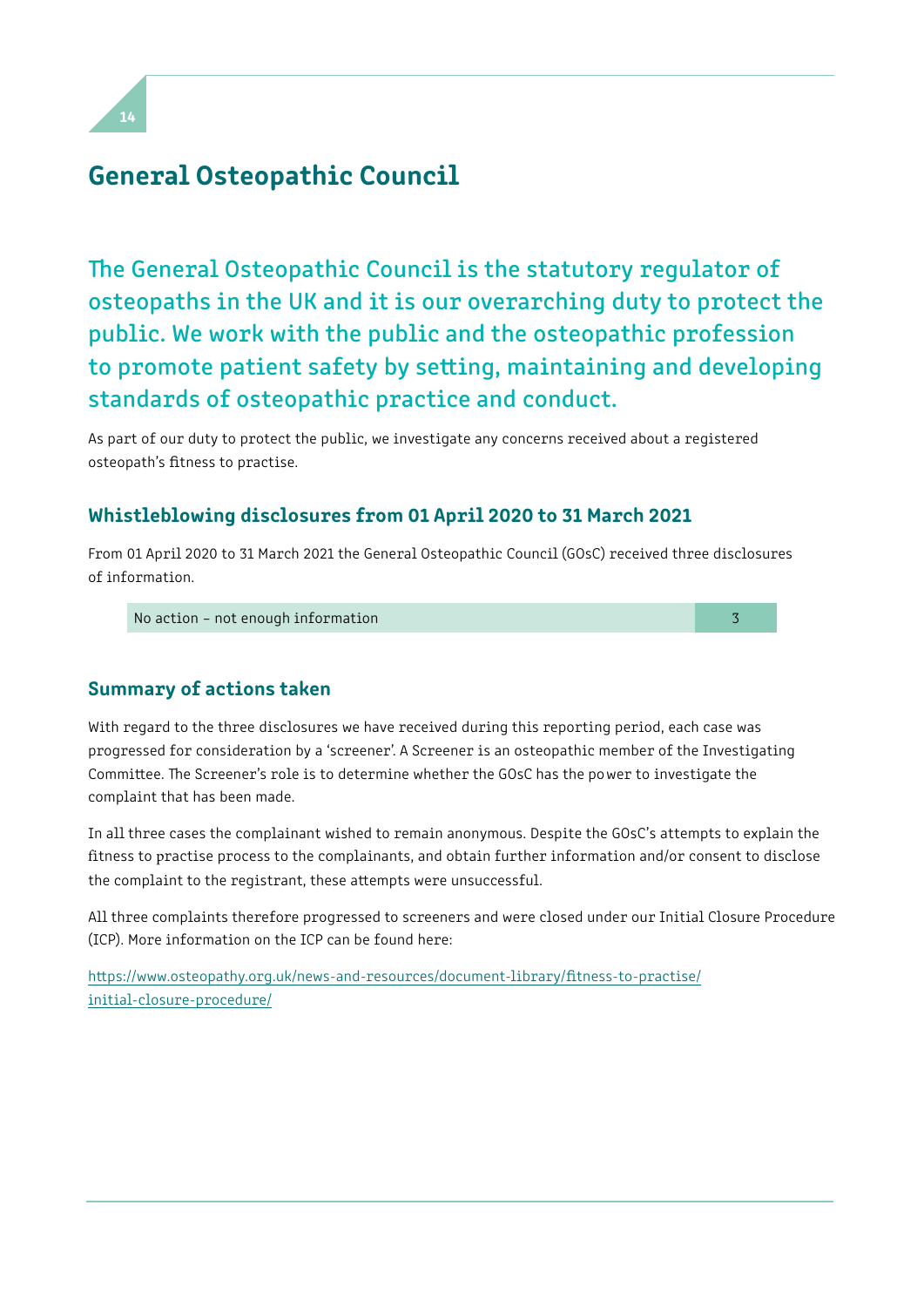# General Osteopathic Council

The General Osteopathic Council is the statutory regulator of osteopaths in the UK and it is our overarching duty to protect the public. We work with the public and the osteopathic profession to promote patient safety by seting, maintaining and developing standards of osteopathic practice and conduct.

As part of our duty to protect the public, we investigate any concerns received about a registered osteopath's ftness to practise.

### Whistleblowing disclosures from 01 April 2020 to 31 March 2021

From 01 April 2020 to 31 March 2021 the General Osteopathic Council (GOsC) received three disclosures of information.

No action – not enough information 3

Summary of actions taken

With regard to the three disclosures we have received during this reporting period, each case was progressed for consideration by a 'screener'. A Screener is an osteopathic member of the Investigating Committee. The Screener's role is to determine whether the GOsC has the power to investigate the complaint that has been made.

In all three cases the complainant wished to remain anonymous. Despite the GOsC's attempts to explain the fitness to practise process to the complainants, and obtain further information and/or consent to disclose the complaint to the registrant, these atempts were unsuccessful.

All three complaints therefore progressed to screeners and were closed under our Initial Closure Procedure (ICP). More information on the ICP can be found here:

[htps://www.osteopathy.org.uk/news-and-resources/document-library/ftness-to-practise/](https://www.osteopathy.org.uk/news-and-resources/document-library/fitness-to-practise/initial-closure-procedure/)  [initial-closure-procedure/](https://www.osteopathy.org.uk/news-and-resources/document-library/fitness-to-practise/initial-closure-procedure/)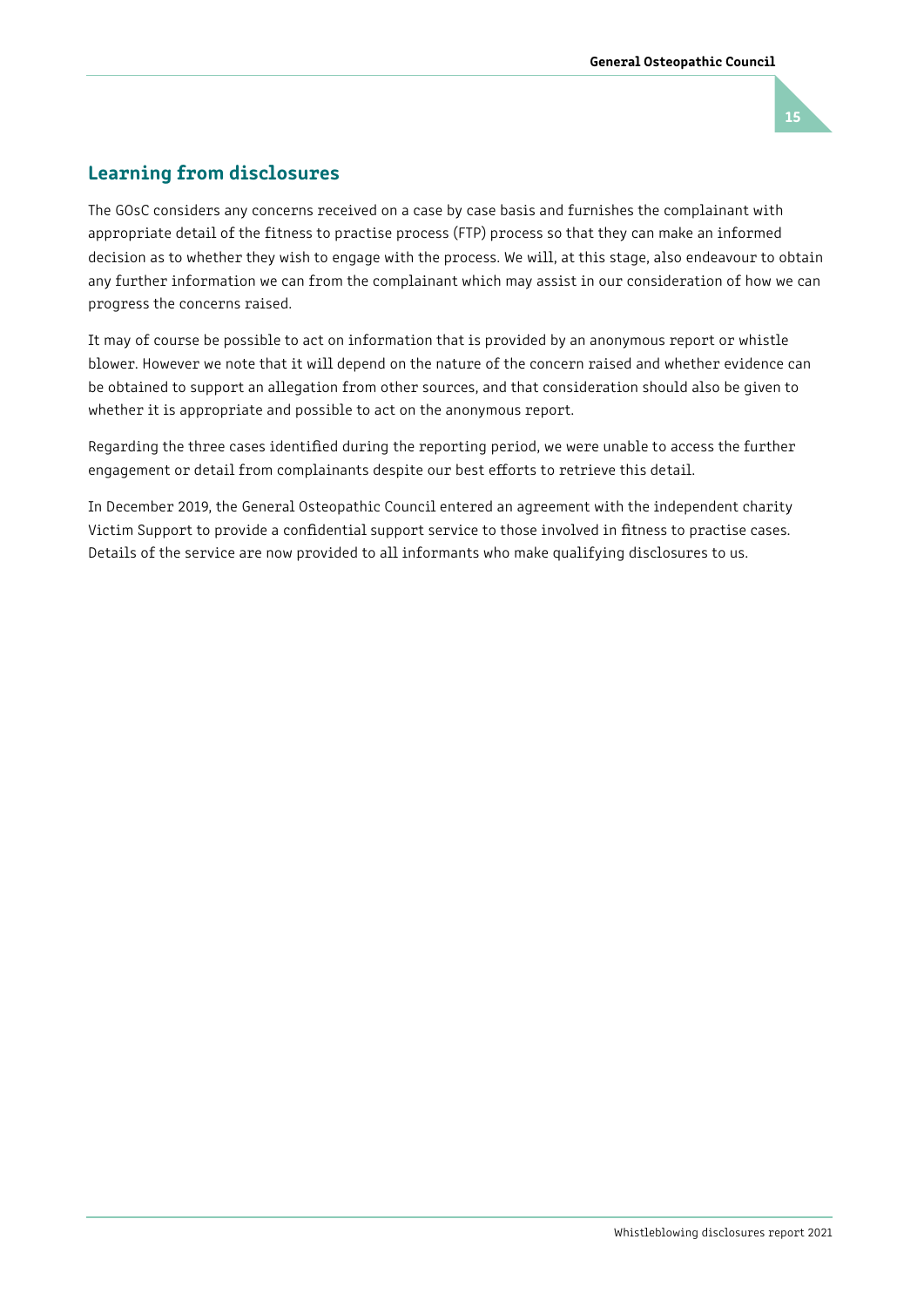

### Learning from disclosures

The GOsC considers any concerns received on a case by case basis and furnishes the complainant with appropriate detail of the fitness to practise process (FTP) process so that they can make an informed decision as to whether they wish to engage with the process. We will, at this stage, also endeavour to obtain any further information we can from the complainant which may assist in our consideration of how we can progress the concerns raised.

It may of course be possible to act on information that is provided by an anonymous report or whistle blower. However we note that it will depend on the nature of the concern raised and whether evidence can be obtained to support an allegation from other sources, and that consideration should also be given to whether it is appropriate and possible to act on the anonymous report.

Regarding the three cases identifed during the reporting period, we were unable to access the further engagement or detail from complainants despite our best eforts to retrieve this detail.

In December 2019, the General Osteopathic Council entered an agreement with the independent charity Victim Support to provide a confdential support service to those involved in ftness to practise cases. Details of the service are now provided to all informants who make qualifying disclosures to us.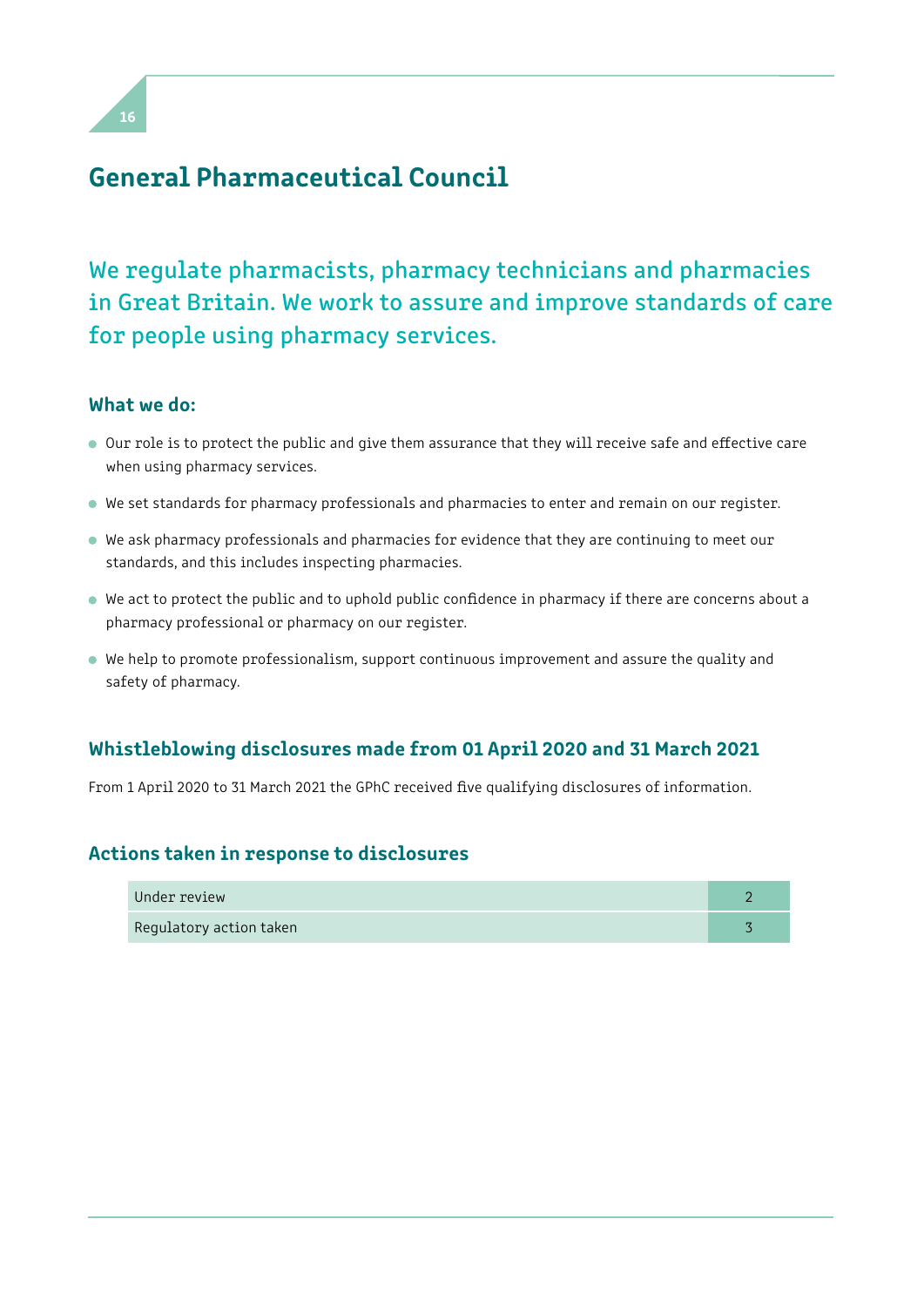

### General Pharmaceutical Council

# We regulate pharmacists, pharmacy technicians and pharmacies in Great Britain. We work to assure and improve standards of care for people using pharmacy services.

### What we do:

- Our role is to protect the public and give them assurance that they will receive safe and efective care when using pharmacy services.
- We set standards for pharmacy professionals and pharmacies to enter and remain on our register.
- We ask pharmacy professionals and pharmacies for evidence that they are continuing to meet our standards, and this includes inspecting pharmacies.
- We act to protect the public and to uphold public confdence in pharmacy if there are concerns about a pharmacy professional or pharmacy on our register.
- We help to promote professionalism, support continuous improvement and assure the quality and safety of pharmacy.

### Whistleblowing disclosures made from 01 April 2020 and 31 March 2021

From 1 April 2020 to 31 March 2021 the GPhC received fve qualifying disclosures of information.

### Actions taken in response to disclosures

| Under review            |  |
|-------------------------|--|
| Regulatory action taken |  |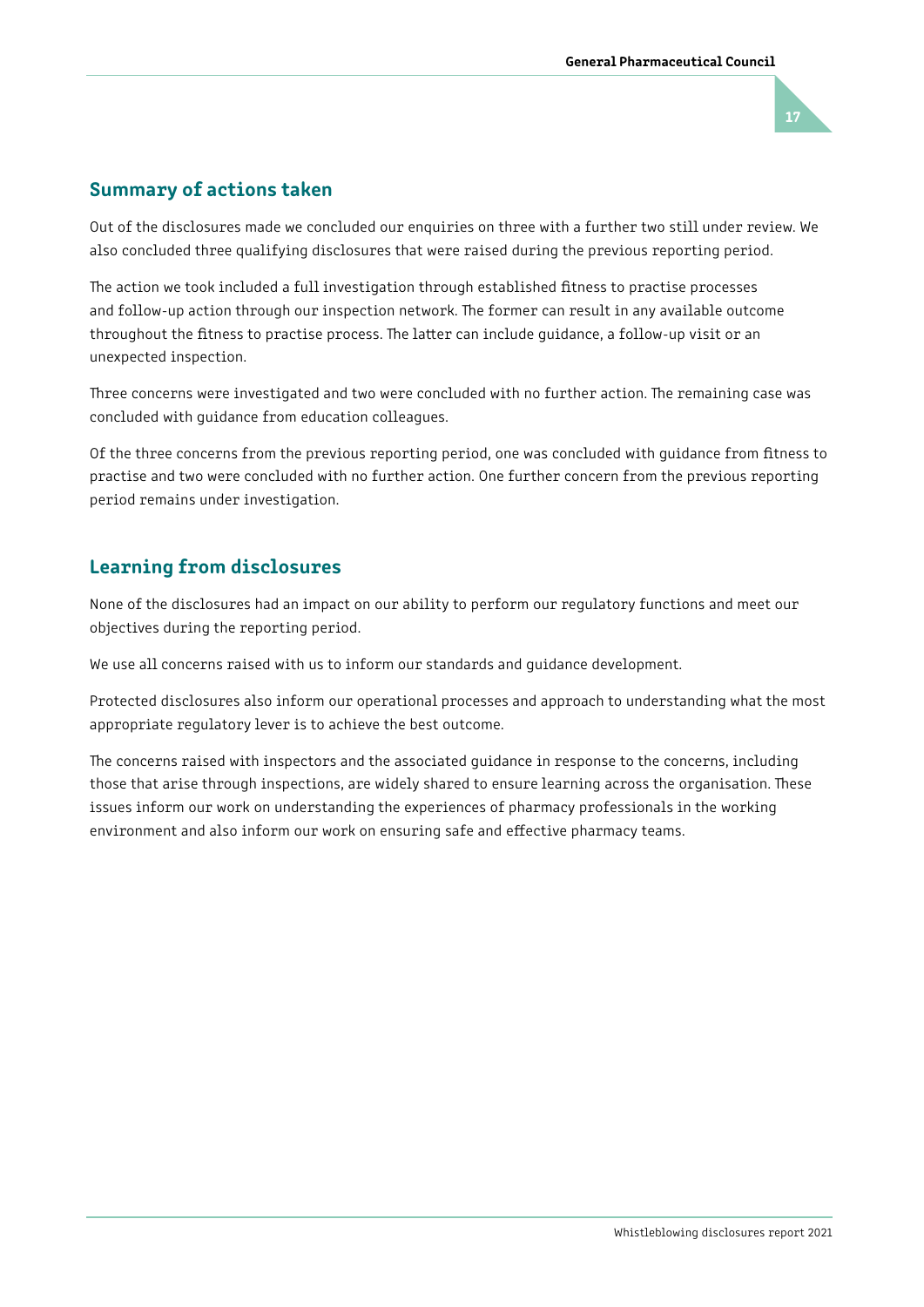# 17

### Summary of actions taken

Out of the disclosures made we concluded our enquiries on three with a further two still under review. We also concluded three qualifying disclosures that were raised during the previous reporting period.

The action we took included a full investigation through established fitness to practise processes and follow-up action through our inspection network. The former can result in any available outcome throughout the fitness to practise process. The latter can include guidance, a follow-up visit or an unexpected inspection.

Three concerns were investigated and two were concluded with no further action. The remaining case was concluded with guidance from education colleagues.

Of the three concerns from the previous reporting period, one was concluded with guidance from ftness to practise and two were concluded with no further action. One further concern from the previous reporting period remains under investigation.

### Learning from disclosures

None of the disclosures had an impact on our ability to perform our regulatory functions and meet our objectives during the reporting period.

We use all concerns raised with us to inform our standards and guidance development.

Protected disclosures also inform our operational processes and approach to understanding what the most appropriate regulatory lever is to achieve the best outcome.

The concerns raised with inspectors and the associated guidance in response to the concerns, including those that arise through inspections, are widely shared to ensure learning across the organisation. These issues inform our work on understanding the experiences of pharmacy professionals in the working environment and also inform our work on ensuring safe and efective pharmacy teams.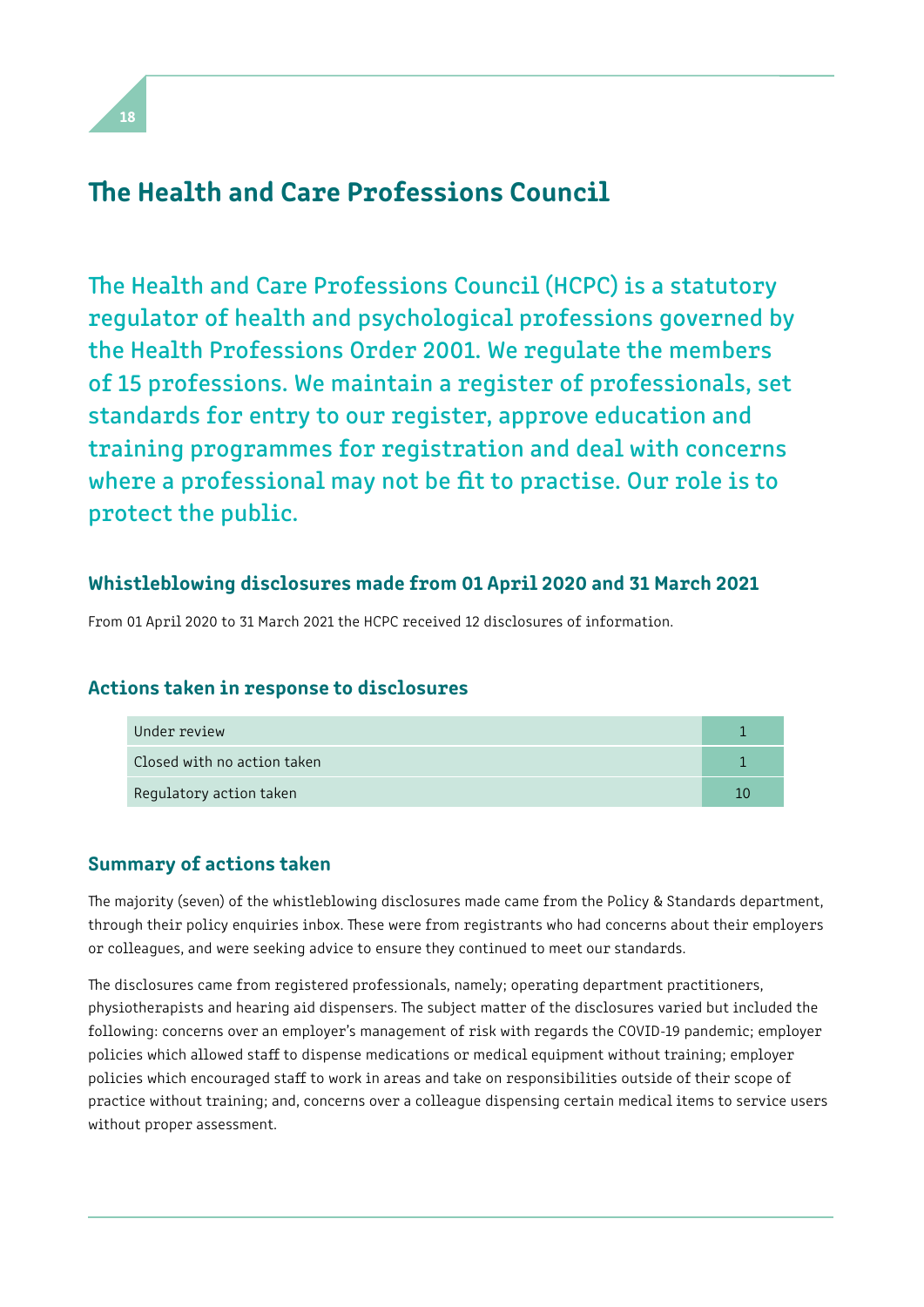### The Health and Care Professions Council

The Health and Care Professions Council (HCPC) is a statutory regulator of health and psychological professions governed by the Health Professions Order 2001. We regulate the members of 15 professions. We maintain a register of professionals, set standards for entry to our register, approve education and training programmes for registration and deal with concerns where a professional may not be fit to practise. Our role is to protect the public.

### Whistleblowing disclosures made from 01 April 2020 and 31 March 2021

From 01 April 2020 to 31 March 2021 the HCPC received 12 disclosures of information.

### Actions taken in response to disclosures

| Under review                |  |
|-----------------------------|--|
| Closed with no action taken |  |
| Regulatory action taken     |  |

### Summary of actions taken

The majority (seven) of the whistleblowing disclosures made came from the Policy & Standards department, through their policy enquiries inbox. These were from registrants who had concerns about their employers or colleagues, and were seeking advice to ensure they continued to meet our standards.

The disclosures came from registered professionals, namely; operating department practitioners, physiotherapists and hearing aid dispensers. The subject matter of the disclosures varied but included the following: concerns over an employer's management of risk with regards the COVID-19 pandemic; employer policies which allowed staff to dispense medications or medical equipment without training; employer policies which encouraged staff to work in areas and take on responsibilities outside of their scope of practice without training; and, concerns over a colleague dispensing certain medical items to service users without proper assessment.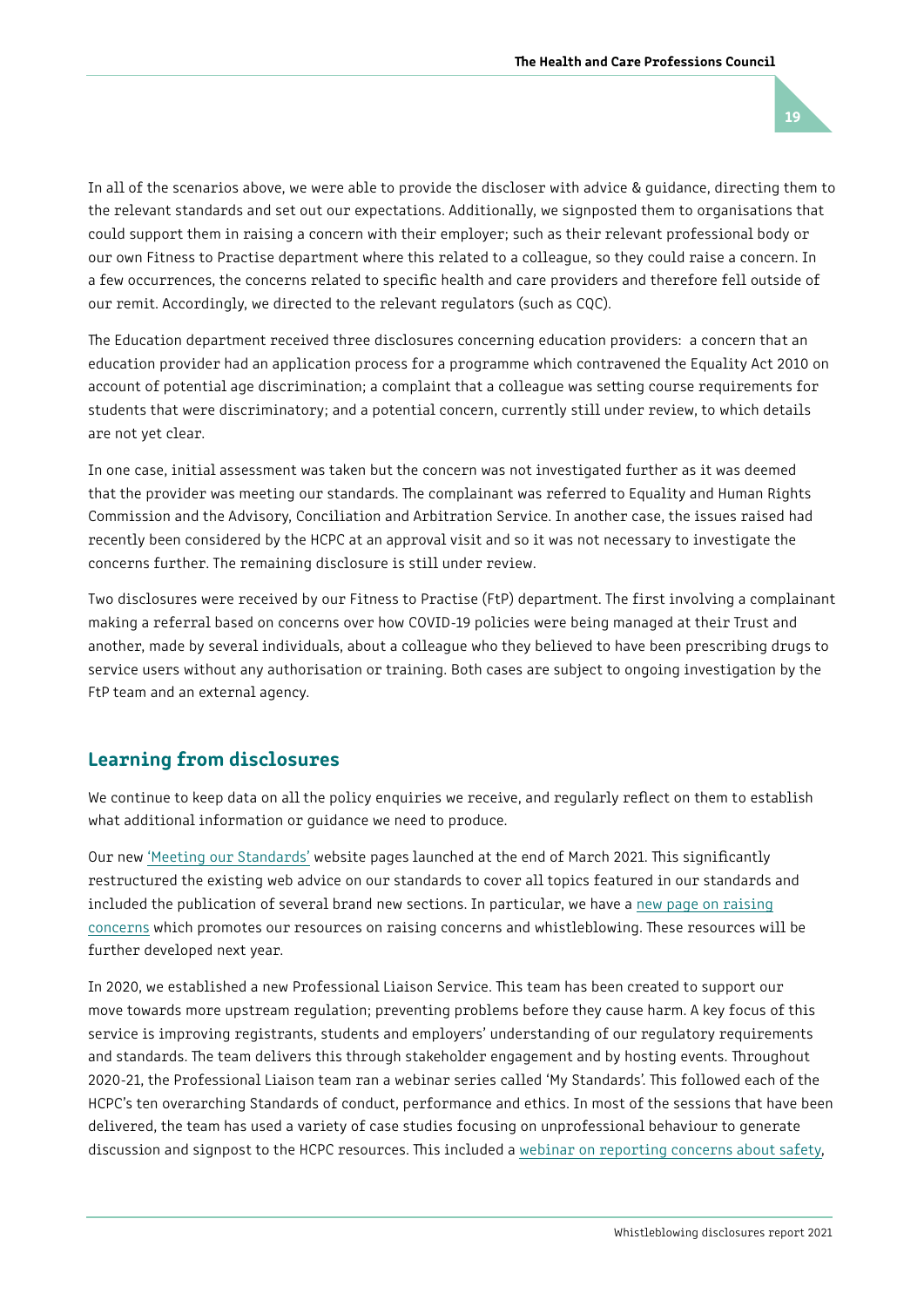In all of the scenarios above, we were able to provide the discloser with advice & guidance, directing them to the relevant standards and set out our expectations. Additionally, we signposted them to organisations that could support them in raising a concern with their employer; such as their relevant professional body or our own Fitness to Practise department where this related to a colleague, so they could raise a concern. In a few occurrences, the concerns related to specifc health and care providers and therefore fell outside of our remit. Accordingly, we directed to the relevant regulators (such as CQC).

The Education department received three disclosures concerning education providers: a concern that an education provider had an application process for a programme which contravened the Equality Act 2010 on account of potential age discrimination; a complaint that a colleague was seting course requirements for students that were discriminatory; and a potential concern, currently still under review, to which details are not yet clear.

In one case, initial assessment was taken but the concern was not investigated further as it was deemed that the provider was meeting our standards. The complainant was referred to Equality and Human Rights Commission and the Advisory, Conciliation and Arbitration Service. In another case, the issues raised had recently been considered by the HCPC at an approval visit and so it was not necessary to investigate the concerns further. The remaining disclosure is still under review.

Two disclosures were received by our Fitness to Practise (FtP) department. The first involving a complainant making a referral based on concerns over how COVID-19 policies were being managed at their Trust and another, made by several individuals, about a colleague who they believed to have been prescribing drugs to service users without any authorisation or training. Both cases are subject to ongoing investigation by the FtP team and an external agency.

### Learning from disclosures

We continue to keep data on all the policy enquiries we receive, and regularly reflect on them to establish what additional information or guidance we need to produce.

Our new ['Meeting our Standards'](http://livelink/edrmsdav/nodes/) website pages launched at the end of March 2021. This significantly restructured the existing web advice on our standards to cover all topics featured in our standards and included the publication of several brand new sections. In particular, we have a [new page on raising](http://livelink/edrmsdav/nodes/)  [concerns](http://livelink/edrmsdav/nodes/) which promotes our resources on raising concerns and whistleblowing. These resources will be further developed next year.

In 2020, we established a new Professional Liaison Service. This team has been created to support our move towards more upstream regulation; preventing problems before they cause harm. A key focus of this service is improving registrants, students and employers' understanding of our regulatory requirements and standards. The team delivers this through stakeholder engagement and by hosting events. Throughout 2020-21, the Professional Liaison team ran a webinar series called 'My Standards'. Tis followed each of the HCPC's ten overarching Standards of conduct, performance and ethics. In most of the sessions that have been delivered, the team has used a variety of case studies focusing on unprofessional behaviour to generate discussion and signpost to the HCPC resources. This included a [webinar on reporting concerns about safety,](https://www.hcpc-uk.org/standards/meeting-our-standards/raising-concerns-openness-and-honesty/webinar-reporting-concerns-about-safety/)

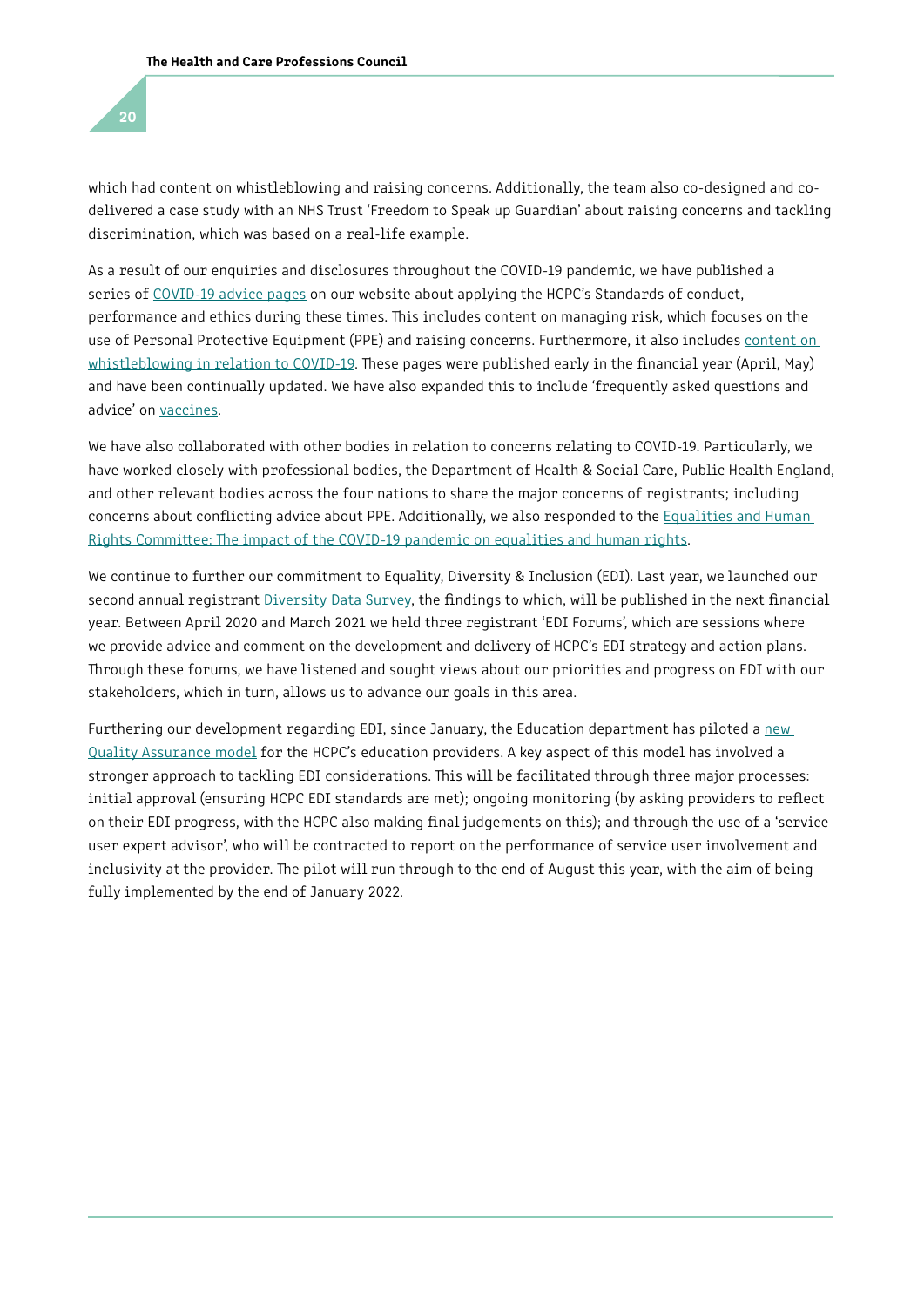which had content on whistleblowing and raising concerns. Additionally, the team also co-designed and codelivered a case study with an NHS Trust 'Freedom to Speak up Guardian' about raising concerns and tackling discrimination, which was based on a real-life example.

As a result of our enquiries and disclosures throughout the COVID-19 pandemic, we have published a series of [COVID-19 advice pages](https://www.hcpc-uk.org/covid-19/) on our website about applying the HCPC's Standards of conduct, performance and ethics during these times. This includes content on managing risk, which focuses on the use of Personal Protective Equipment (PPE) and raising concerns. Furthermore, it also includes content on [whistleblowing in relation to COVID-19.](https://www.hcpc-uk.org/covid-19/advice/applying-our-standards/speaking-up-during-an-emergency/) These pages were published early in the financial year (April, May) and have been continually updated. We have also expanded this to include 'frequently asked questions and advice' on [vaccines](https://www.hcpc-uk.org/covid-19/vaccinations-what-you-need-to-know/).

We have also collaborated with other bodies in relation to concerns relating to COVID-19. Particularly, we have worked closely with professional bodies, the Department of Health & Social Care, Public Health England, and other relevant bodies across the four nations to share the major concerns of registrants; including concerns about conficting advice about PPE. Additionally, we also responded to the [Equalities and Human](https://yourviews.parliament.scot/session-5/impact-covid-19-pandemic-equalities-human-rights/consultation/published_select_respondent?show_all_questions=0&sort=submitted&order=ascending&_q__text=health+and+care)  Rights Committee: The impact of the COVID-19 pandemic on equalities and human rights.

We continue to further our commitment to Equality, Diversity & Inclusion (EDI). Last year, we launched our second annual registrant *Diversity Data Survey*, the findings to which, will be published in the next financial year. Between April 2020 and March 2021 we held three registrant 'EDI Forums', which are sessions where we provide advice and comment on the development and delivery of HCPC's EDI strategy and action plans. Through these forums, we have listened and sought views about our priorities and progress on EDI with our stakeholders, which in turn, allows us to advance our goals in this area.

Furthering our development regarding EDI, since January, the Education department has piloted a new [Quality Assurance model](https://www.hcpc-uk.org/about-us/what-we-do/our-work/continuously-improve-and-innovate/education-qa-model/) for the HCPC's education providers. A key aspect of this model has involved a stronger approach to tackling EDI considerations. This will be facilitated through three major processes: initial approval (ensuring HCPC EDI standards are met); ongoing monitoring (by asking providers to refect on their EDI progress, with the HCPC also making fnal judgements on this); and through the use of a 'service user expert advisor', who will be contracted to report on the performance of service user involvement and inclusivity at the provider. The pilot will run through to the end of August this year, with the aim of being fully implemented by the end of January 2022.

20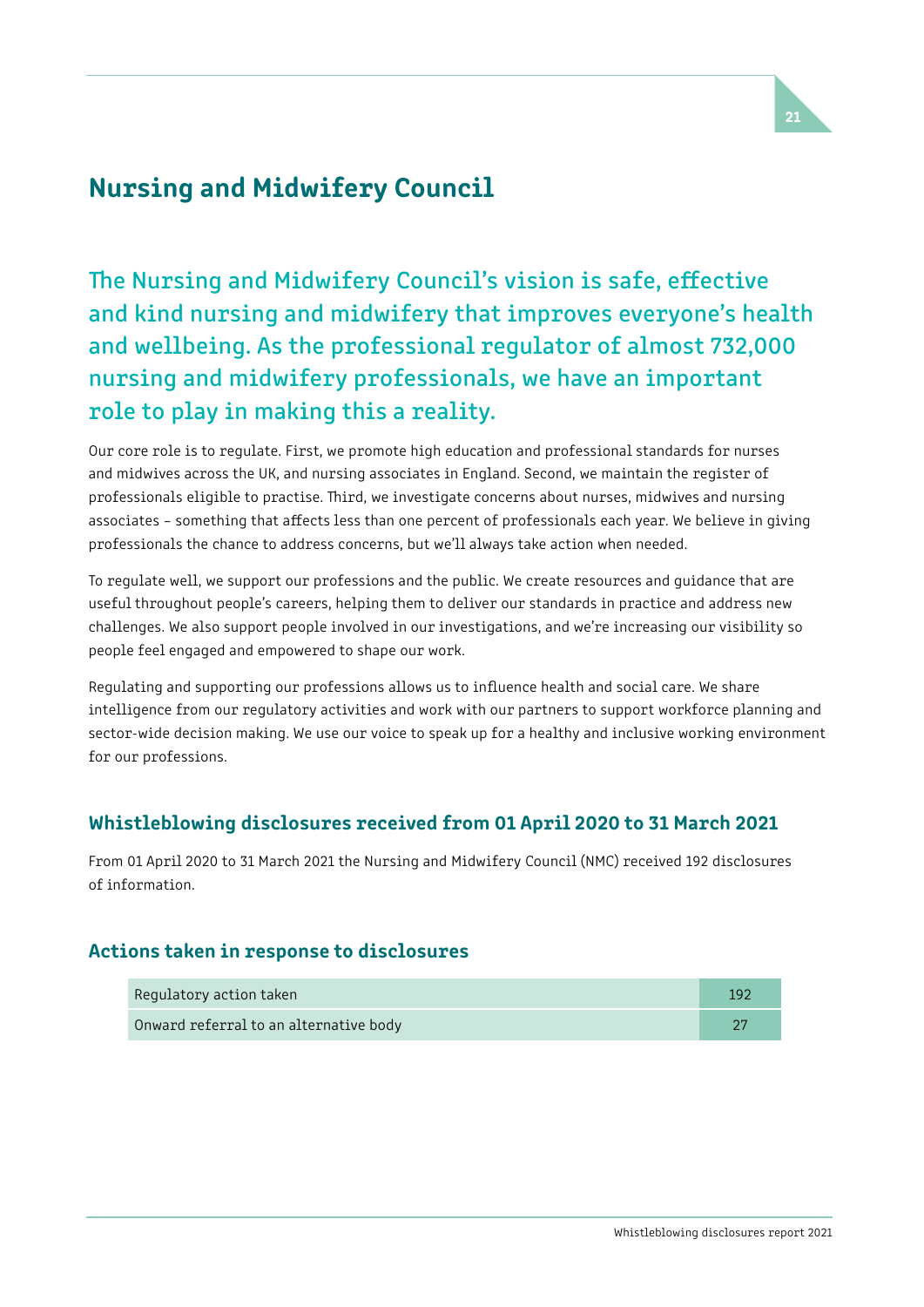# Nursing and Midwifery Council

The Nursing and Midwifery Council's vision is safe, effective and kind nursing and midwifery that improves everyone's health and wellbeing. As the professional regulator of almost 732,000 nursing and midwifery professionals, we have an important role to play in making this a reality.

Our core role is to regulate. First, we promote high education and professional standards for nurses and midwives across the UK, and nursing associates in England. Second, we maintain the register of professionals eligible to practise. Third, we investigate concerns about nurses, midwives and nursing associates – something that afects less than one percent of professionals each year. We believe in giving professionals the chance to address concerns, but we'll always take action when needed.

To regulate well, we support our professions and the public. We create resources and guidance that are useful throughout people's careers, helping them to deliver our standards in practice and address new challenges. We also support people involved in our investigations, and we're increasing our visibility so people feel engaged and empowered to shape our work.

Regulating and supporting our professions allows us to infuence health and social care. We share intelligence from our regulatory activities and work with our partners to support workforce planning and sector-wide decision making. We use our voice to speak up for a healthy and inclusive working environment for our professions.

### Whistleblowing disclosures received from 01 April 2020 to 31 March 2021

From 01 April 2020 to 31 March 2021 the Nursing and Midwifery Council (NMC) received 192 disclosures of information.

### Actions taken in response to disclosures

| Regulatory action taken                | 192 |
|----------------------------------------|-----|
| Onward referral to an alternative body |     |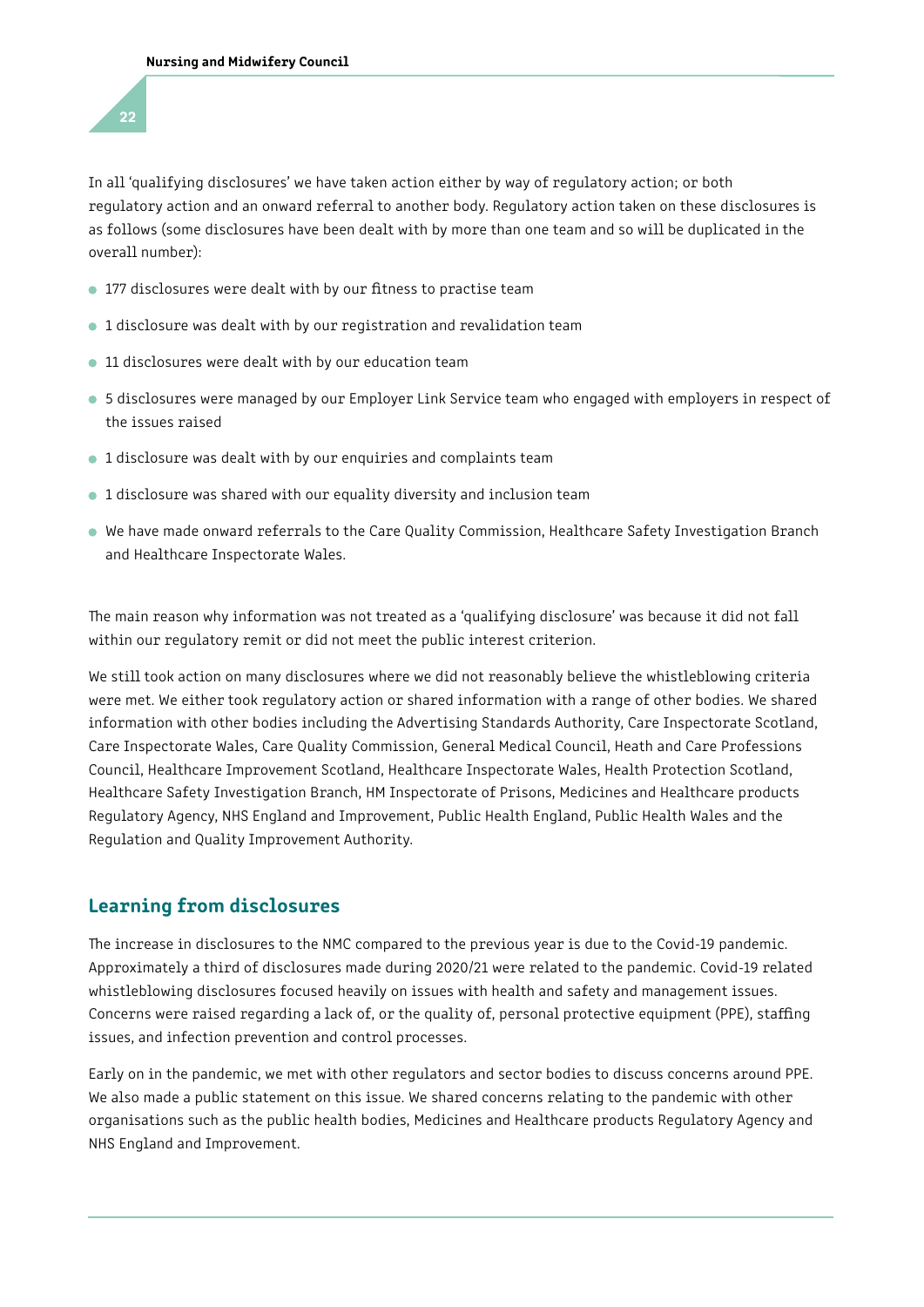In all 'qualifying disclosures' we have taken action either by way of regulatory action; or both regulatory action and an onward referral to another body. Regulatory action taken on these disclosures is as follows (some disclosures have been dealt with by more than one team and so will be duplicated in the overall number):

- **177 disclosures were dealt with by our fitness to practise team**
- 1 disclosure was dealt with by our registration and revalidation team
- 11 disclosures were dealt with by our education team
- 5 disclosures were managed by our Employer Link Service team who engaged with employers in respect of the issues raised
- 1 disclosure was dealt with by our enquiries and complaints team
- 1 disclosure was shared with our equality diversity and inclusion team
- We have made onward referrals to the Care Quality Commission, Healthcare Safety Investigation Branch and Healthcare Inspectorate Wales.

The main reason why information was not treated as a 'qualifying disclosure' was because it did not fall within our regulatory remit or did not meet the public interest criterion.

We still took action on many disclosures where we did not reasonably believe the whistleblowing criteria were met. We either took regulatory action or shared information with a range of other bodies. We shared information with other bodies including the Advertising Standards Authority, Care Inspectorate Scotland, Care Inspectorate Wales, Care Quality Commission, General Medical Council, Heath and Care Professions Council, Healthcare Improvement Scotland, Healthcare Inspectorate Wales, Health Protection Scotland, Healthcare Safety Investigation Branch, HM Inspectorate of Prisons, Medicines and Healthcare products Regulatory Agency, NHS England and Improvement, Public Health England, Public Health Wales and the Regulation and Quality Improvement Authority.

### Learning from disclosures

The increase in disclosures to the NMC compared to the previous year is due to the Covid-19 pandemic. Approximately a third of disclosures made during 2020/21 were related to the pandemic. Covid-19 related whistleblowing disclosures focused heavily on issues with health and safety and management issues. Concerns were raised regarding a lack of, or the quality of, personal protective equipment (PPE), staffing issues, and infection prevention and control processes.

Early on in the pandemic, we met with other regulators and sector bodies to discuss concerns around PPE. We also made a public statement on this issue. We shared concerns relating to the pandemic with other organisations such as the public health bodies, Medicines and Healthcare products Regulatory Agency and NHS England and Improvement.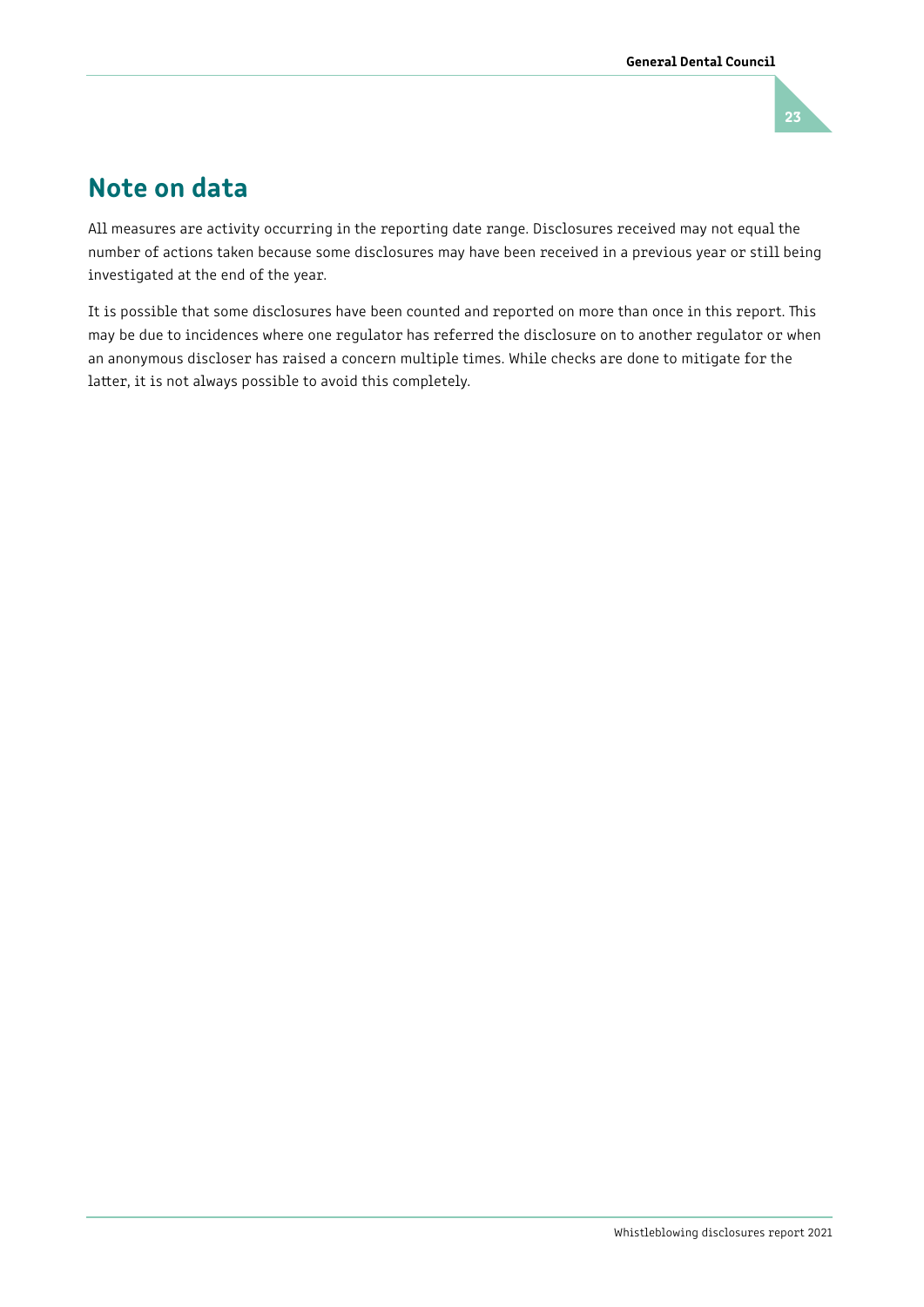

# Note on data

All measures are activity occurring in the reporting date range. Disclosures received may not equal the number of actions taken because some disclosures may have been received in a previous year or still being investigated at the end of the year.

It is possible that some disclosures have been counted and reported on more than once in this report. This may be due to incidences where one regulator has referred the disclosure on to another regulator or when an anonymous discloser has raised a concern multiple times. While checks are done to mitigate for the latter, it is not always possible to avoid this completely.